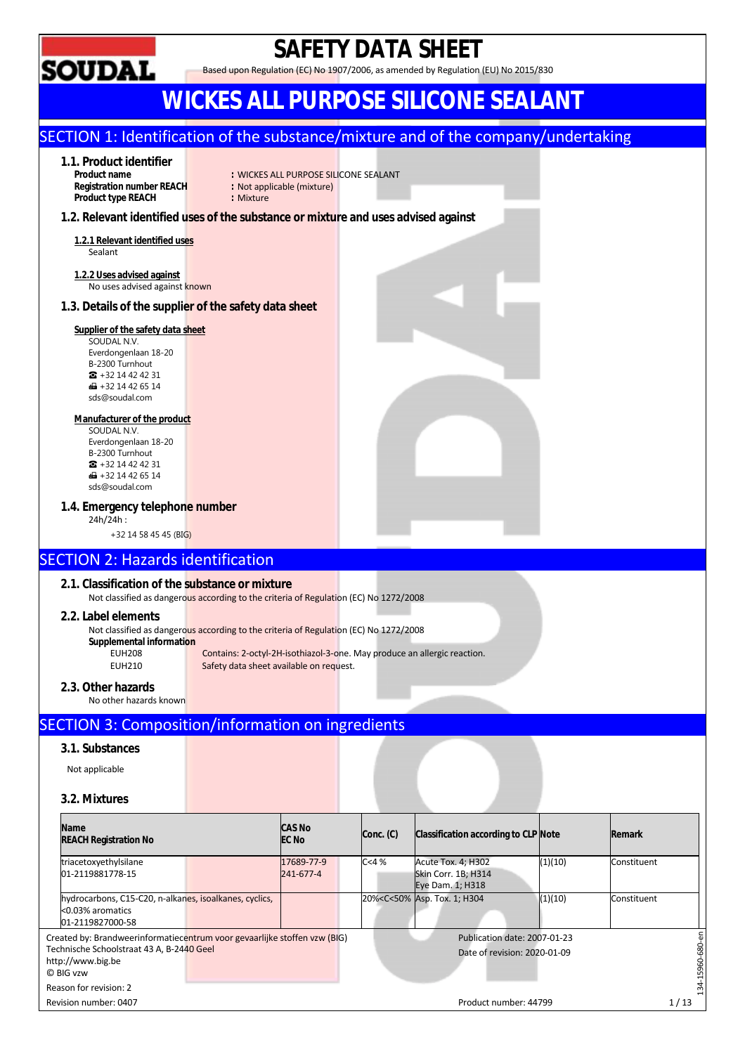

## **SAFETY DATA SHEET**

Based upon Regulation (EC) No 1907/2006, as amended by Regulation (EU) No 2015/830

## **WICKES ALL PURPOSE SILICONE SEALANT**

### SECTION 1: Identification of the substance/mixture and of the company/undertaking

### **1.1. Product identifier**

**Registration number REACH Product type REACH : Mixture** 

- **PRODUCT SILL PURPOSE SILICONE SEALANT**<br> **Product Signal Side (mixture)**
- 

#### **1.2. Relevant identified uses of the substance or mixture and uses advised against**

**1.2.1 Relevant identified uses**  Sealant

**1.2.2 Uses advised against**  No uses advised against known

#### **1.3. Details of the supplier of the safety data sheet**

#### **Supplier of the safety data sheet**

SOUDAL N.V. Everdongenlaan 18-20 B-2300 Turnhout ☎ +32 14 42 42 31  $\bigoplus$  +32 14 42 65 14 sds@soudal.com

#### **Manufacturer of the product**

SOUDAL N.V. Everdongenlaan 18-20 B-2300 Turnhout ☎ +32 14 42 42 31  $\overline{1}$  + 32 14 42 65 14 sds@soudal.com

#### **1.4. Emergency telephone number**

24h/24h :

+32 14 58 45 45 (BIG)

### SECTION 2: Hazards identification

#### **2.1. Classification of the substance or mixture**

Not classified as dangerous according to the criteria of Regulation (EC) No 1272/2008

#### **2.2. Label elements**

Not classified as dangerous according to the criteria of Regulation (EC) No 1272/2008

### **Supplemental information**

Contains: 2-octyl-2H-isothiazol-3-one. May produce an allergic reaction. EUH210 Safety data sheet available on request.

#### **2.3. Other hazards**

No other hazards known

### SECTION 3: Composition/information on ingredients

#### **3.1. Substances**

Not applicable

#### **3.2. Mixtures**

| <b>Name</b><br><b>REACH Registration No</b>                                                    | <b>CAS No</b><br><b>EC No</b> | Conc. (C) | <b>Classification according to CLP Note</b>                                                           |         | <b>Remark</b> |      |
|------------------------------------------------------------------------------------------------|-------------------------------|-----------|-------------------------------------------------------------------------------------------------------|---------|---------------|------|
| triacetoxyethylsilane<br>01-2119881778-15                                                      | 17689-77-9<br>241-677-4       | C<4%      | <b>Acute Tox. 4; H302</b><br>Skin Corr. 1B; H314<br>Eye Dam. 1; H318                                  | (1)(10) | Constituent   |      |
| hydrocarbons, C15-C20, n-alkanes, isoalkanes, cyclics,<br><0.03% aromatics<br>01-2119827000-58 |                               |           | 20% <c<50% 1;="" asp.="" h304<="" td="" tox.=""><td>(1)(10)</td><td>Constituent</td><td></td></c<50%> | (1)(10) | Constituent   |      |
| Created by: Brandweerinformatiecentrum voor gevaarlijke stoffen vzw (BIG)                      |                               |           | Publication date: 2007-01-23                                                                          |         |               |      |
| Technische Schoolstraat 43 A, B-2440 Geel<br>http://www.big.be<br>© BIG vzw                    |                               |           | Date of revision: 2020-01-09                                                                          |         |               |      |
| Reason for revision: 2                                                                         |                               |           |                                                                                                       |         |               |      |
| Revision number: 0407                                                                          |                               |           | Product number: 44799                                                                                 |         |               | 1/13 |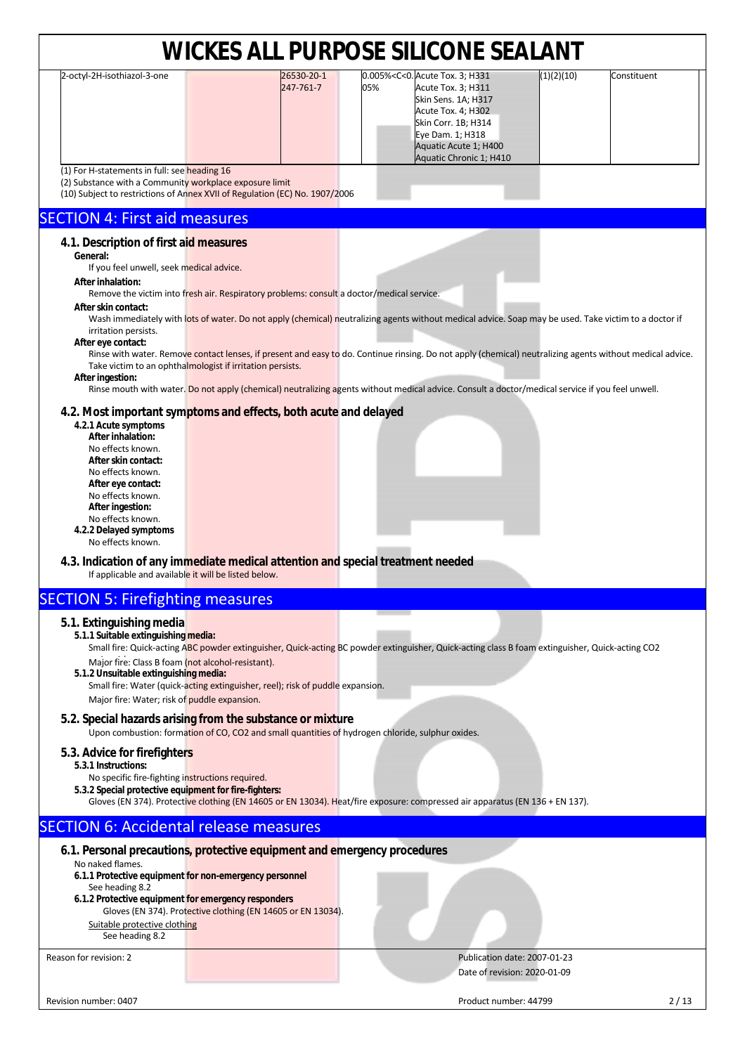| 2-octyl-2H-isothiazol-3-one                               | 26530-20-1                                                                                | 0.005% <c<0. 3;="" acute="" h331<="" th="" tox.=""><th>(1)(2)(10)<br/>Constituent</th><th></th></c<0.>                                           | (1)(2)(10)<br>Constituent                                                                                                                                 |  |
|-----------------------------------------------------------|-------------------------------------------------------------------------------------------|--------------------------------------------------------------------------------------------------------------------------------------------------|-----------------------------------------------------------------------------------------------------------------------------------------------------------|--|
|                                                           | 247-761-7                                                                                 | Acute Tox. 3; H311<br>05%                                                                                                                        |                                                                                                                                                           |  |
|                                                           |                                                                                           | Skin Sens. 1A; H317                                                                                                                              |                                                                                                                                                           |  |
|                                                           |                                                                                           | Acute Tox. 4; H302                                                                                                                               |                                                                                                                                                           |  |
|                                                           |                                                                                           |                                                                                                                                                  |                                                                                                                                                           |  |
|                                                           |                                                                                           | Skin Corr. 1B; H314                                                                                                                              |                                                                                                                                                           |  |
|                                                           |                                                                                           | Eye Dam. 1; H318                                                                                                                                 |                                                                                                                                                           |  |
|                                                           |                                                                                           | Aquatic Acute 1; H400                                                                                                                            |                                                                                                                                                           |  |
|                                                           |                                                                                           | Aquatic Chronic 1; H410                                                                                                                          |                                                                                                                                                           |  |
| (1) For H-statements in full: see heading 16              |                                                                                           |                                                                                                                                                  |                                                                                                                                                           |  |
| (2) Substance with a Community workplace exposure limit   |                                                                                           |                                                                                                                                                  |                                                                                                                                                           |  |
|                                                           | (10) Subject to restrictions of Annex XVII of Regulation (EC) No. 1907/2006               |                                                                                                                                                  |                                                                                                                                                           |  |
|                                                           |                                                                                           |                                                                                                                                                  |                                                                                                                                                           |  |
| <b>SECTION 4: First aid measures</b>                      |                                                                                           |                                                                                                                                                  |                                                                                                                                                           |  |
| 4.1. Description of first aid measures                    |                                                                                           |                                                                                                                                                  |                                                                                                                                                           |  |
|                                                           |                                                                                           |                                                                                                                                                  |                                                                                                                                                           |  |
| General:                                                  |                                                                                           |                                                                                                                                                  |                                                                                                                                                           |  |
| If you feel unwell, seek medical advice.                  |                                                                                           |                                                                                                                                                  |                                                                                                                                                           |  |
| After inhalation:                                         |                                                                                           |                                                                                                                                                  |                                                                                                                                                           |  |
|                                                           | Remove the victim into fresh air. Respiratory problems: consult a doctor/medical service. |                                                                                                                                                  |                                                                                                                                                           |  |
| After skin contact:                                       |                                                                                           |                                                                                                                                                  |                                                                                                                                                           |  |
|                                                           |                                                                                           |                                                                                                                                                  | Wash immediately with lots of water. Do not apply (chemical) neutralizing agents without medical advice. Soap may be used. Take victim to a doctor if     |  |
| irritation persists.                                      |                                                                                           |                                                                                                                                                  |                                                                                                                                                           |  |
| After eye contact:                                        |                                                                                           |                                                                                                                                                  |                                                                                                                                                           |  |
|                                                           |                                                                                           |                                                                                                                                                  | Rinse with water. Remove contact lenses, if present and easy to do. Continue rinsing. Do not apply (chemical) neutralizing agents without medical advice. |  |
| Take victim to an ophthalmologist if irritation persists. |                                                                                           |                                                                                                                                                  |                                                                                                                                                           |  |
| After ingestion:                                          |                                                                                           |                                                                                                                                                  |                                                                                                                                                           |  |
|                                                           |                                                                                           | Rinse mouth with water. Do not apply (chemical) neutralizing agents without medical advice. Consult a doctor/medical service if you feel unwell. |                                                                                                                                                           |  |
|                                                           |                                                                                           |                                                                                                                                                  |                                                                                                                                                           |  |
|                                                           | 4.2. Most important symptoms and effects, both acute and delayed                          |                                                                                                                                                  |                                                                                                                                                           |  |
| 4.2.1 Acute symptoms                                      |                                                                                           |                                                                                                                                                  |                                                                                                                                                           |  |
| After inhalation:                                         |                                                                                           |                                                                                                                                                  |                                                                                                                                                           |  |
| No effects known.                                         |                                                                                           |                                                                                                                                                  |                                                                                                                                                           |  |
| After skin contact:                                       |                                                                                           |                                                                                                                                                  |                                                                                                                                                           |  |
| No effects known.                                         |                                                                                           |                                                                                                                                                  |                                                                                                                                                           |  |
| After eye contact:                                        |                                                                                           |                                                                                                                                                  |                                                                                                                                                           |  |
| No effects known.                                         |                                                                                           |                                                                                                                                                  |                                                                                                                                                           |  |
| After ingestion:                                          |                                                                                           |                                                                                                                                                  |                                                                                                                                                           |  |
| No effects known.                                         |                                                                                           |                                                                                                                                                  |                                                                                                                                                           |  |
| 4.2.2 Delayed symptoms                                    |                                                                                           |                                                                                                                                                  |                                                                                                                                                           |  |
| No effects known.                                         |                                                                                           |                                                                                                                                                  |                                                                                                                                                           |  |
|                                                           |                                                                                           |                                                                                                                                                  |                                                                                                                                                           |  |
|                                                           | 4.3. Indication of any immediate medical attention and special treatment needed           |                                                                                                                                                  |                                                                                                                                                           |  |

### If applicable and available it will be listed below.

### SECTION 5: Firefighting measures

#### **5.1. Extinguishing media**

#### **5.1.1 Suitable extinguishing media:**

Small fire: Quick-acting ABC powder extinguisher, Quick-acting BC powder extinguisher, Quick-acting class B foam extinguisher, Quick-acting CO2 Major fire: Class B foam (not alcohol-resistant).

**5.1.2 Unsuitable extinguishing media:**

Small fire: Water (quick-acting extinguisher, reel); risk of puddle expansion. Major fire: Water; risk of puddle expansion.

#### **5.2. Special hazards arising from the substance or mixture**

Upon combustion: formation of CO, CO2 and small quantities of hydrogen chloride, sulphur oxides.

#### **5.3. Advice for firefighters**

**5.3.1 Instructions:** 

- No specific fire-fighting instructions required. **5.3.2 Special protective equipment for fire-fighters:** 
	- Gloves (EN 374). Protective clothing (EN 14605 or EN 13034). Heat/fire exposure: compressed air apparatus (EN 136 + EN 137).

### SECTION 6: Accidental release measures

|                                                     | 6.1. Personal precautions, protective equipment and emergency procedures |                              |
|-----------------------------------------------------|--------------------------------------------------------------------------|------------------------------|
| No naked flames.                                    |                                                                          |                              |
|                                                     | 6.1.1 Protective equipment for non-emergency personnel                   |                              |
| See heading 8.2                                     |                                                                          |                              |
| 6.1.2 Protective equipment for emergency responders |                                                                          |                              |
|                                                     | Gloves (EN 374). Protective clothing (EN 14605 or EN 13034).             |                              |
| Suitable protective clothing                        |                                                                          |                              |
| See heading 8.2                                     |                                                                          |                              |
| Reason for revision: 2                              |                                                                          | Publication date: 2007-01-23 |
|                                                     |                                                                          | Date of revision: 2020-01-09 |
|                                                     |                                                                          |                              |
|                                                     |                                                                          |                              |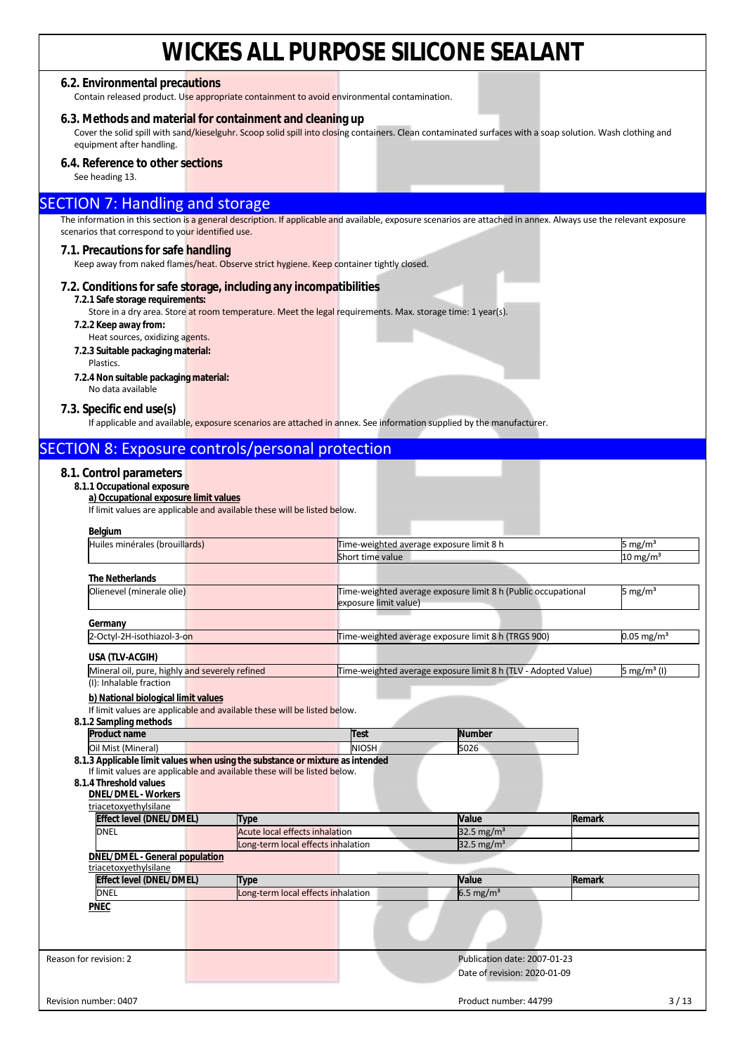#### **6.2. Environmental precautions**

Contain released product. Use appropriate containment to avoid environmental contamination.

#### **6.3. Methods and material for containment and cleaning up**

Cover the solid spill with sand/kieselguhr. Scoop solid spill into closing containers. Clean contaminated surfaces with a soap solution. Wash clothing and equipment after handling.

#### **6.4. Reference to other sections**

See heading 13.

#### SECTION 7: Handling and storage

The information in this section is a general description. If applicable and available, exposure scenarios are attached in annex. Always use the relevant exposure scenarios that correspond to your identified use.

#### **7.1. Precautions for safe handling**

Keep away from naked flames/heat. Observe strict hygiene. Keep container tightly closed.

#### **7.2. Conditions for safe storage, including any incompatibilities**

#### **7.2.1 Safe storage requirements:**

Store in a dry area. Store at room temperature. Meet the legal requirements. Max. storage time: 1 year(s).

- **7.2.2 Keep away from:** 
	- Heat sources, oxidizing agents.
- **7.2.3 Suitable packaging material:**  Plastics.
- **7.2.4 Non suitable packaging material:**
- No data available

#### **7.3. Specific end use(s)**

If applicable and available, exposure scenarios are attached in annex. See information supplied by the manufacturer.

### SECTION 8: Exposure controls/personal protection

#### **8.1. Control parameters**

#### **8.1.1 Occupational exposure**

**a) Occupational exposure limit values** 

If limit values are applicable and available these will be listed below.

| Belgium                                                                       |                                                                          |                                          |                                                                |               |                          |
|-------------------------------------------------------------------------------|--------------------------------------------------------------------------|------------------------------------------|----------------------------------------------------------------|---------------|--------------------------|
| Huiles minérales (brouillards)                                                |                                                                          | Time-weighted average exposure limit 8 h |                                                                |               | 5 mg/m <sup>3</sup>      |
|                                                                               |                                                                          | Short time value                         |                                                                |               | $10 \text{ mg/m}^3$      |
| <b>The Netherlands</b>                                                        |                                                                          |                                          |                                                                |               |                          |
| Olienevel (minerale olie)                                                     |                                                                          |                                          | Time-weighted average exposure limit 8 h (Public occupational  |               | 5 mg/m <sup>3</sup>      |
|                                                                               |                                                                          | exposure limit value)                    |                                                                |               |                          |
|                                                                               |                                                                          |                                          |                                                                |               |                          |
| Germany                                                                       |                                                                          |                                          |                                                                |               |                          |
| 2-Octyl-2H-isothiazol-3-on                                                    |                                                                          |                                          | Time-weighted average exposure limit 8 h (TRGS 900)            |               | $0.05$ mg/m <sup>3</sup> |
| USA (TLV-ACGIH)                                                               |                                                                          |                                          |                                                                |               |                          |
| Mineral oil, pure, highly and severely refined                                |                                                                          |                                          | Time-weighted average exposure limit 8 h (TLV - Adopted Value) |               | 5 mg/m <sup>3</sup> (I)  |
| (I): Inhalable fraction                                                       |                                                                          |                                          |                                                                |               |                          |
| b) National biological limit values                                           |                                                                          |                                          |                                                                |               |                          |
|                                                                               | If limit values are applicable and available these will be listed below. |                                          |                                                                |               |                          |
| 8.1.2 Sampling methods                                                        |                                                                          |                                          |                                                                |               |                          |
|                                                                               |                                                                          |                                          |                                                                |               |                          |
| <b>Product name</b>                                                           |                                                                          | Test                                     | <b>Number</b>                                                  |               |                          |
| Oil Mist (Mineral)                                                            |                                                                          | <b>NIOSH</b>                             | 5026                                                           |               |                          |
|                                                                               |                                                                          |                                          |                                                                |               |                          |
| 8.1.3 Applicable limit values when using the substance or mixture as intended | If limit values are applicable and available these will be listed below. |                                          |                                                                |               |                          |
| 8.1.4 Threshold values                                                        |                                                                          |                                          |                                                                |               |                          |
| <b>DNEL/DMEL - Workers</b>                                                    |                                                                          |                                          |                                                                |               |                          |
| triacetoxyethylsilane                                                         |                                                                          |                                          |                                                                |               |                          |
| <b>Effect level (DNEL/DMEL)</b>                                               | <b>Type</b>                                                              |                                          | Value                                                          | <b>Remark</b> |                          |
| <b>DNEL</b>                                                                   | <b>Acute local effects inhalation</b>                                    |                                          | 32.5 mg/m <sup>3</sup>                                         |               |                          |
|                                                                               | Long-term local effects inhalation                                       |                                          | 32.5 mg/m <sup>3</sup>                                         |               |                          |
| <b>DNEL/DMEL - General population</b>                                         |                                                                          |                                          |                                                                |               |                          |
| triacetoxyethylsilane                                                         |                                                                          |                                          |                                                                |               |                          |
| <b>Effect level (DNEL/DMEL)</b>                                               | Type                                                                     |                                          | Value                                                          | Remark        |                          |
| <b>DNEL</b>                                                                   | Long-term local effects inhalation                                       |                                          | $6.5$ mg/m <sup>3</sup>                                        |               |                          |
| <b>PNEC</b>                                                                   |                                                                          |                                          |                                                                |               |                          |
|                                                                               |                                                                          |                                          |                                                                |               |                          |
|                                                                               |                                                                          |                                          |                                                                |               |                          |
|                                                                               |                                                                          |                                          |                                                                |               |                          |
| Reason for revision: 2                                                        |                                                                          |                                          | Publication date: 2007-01-23                                   |               |                          |
|                                                                               |                                                                          |                                          | Date of revision: 2020-01-09                                   |               |                          |
| Revision number: 0407                                                         |                                                                          |                                          | Product number: 44799                                          |               | 3/13                     |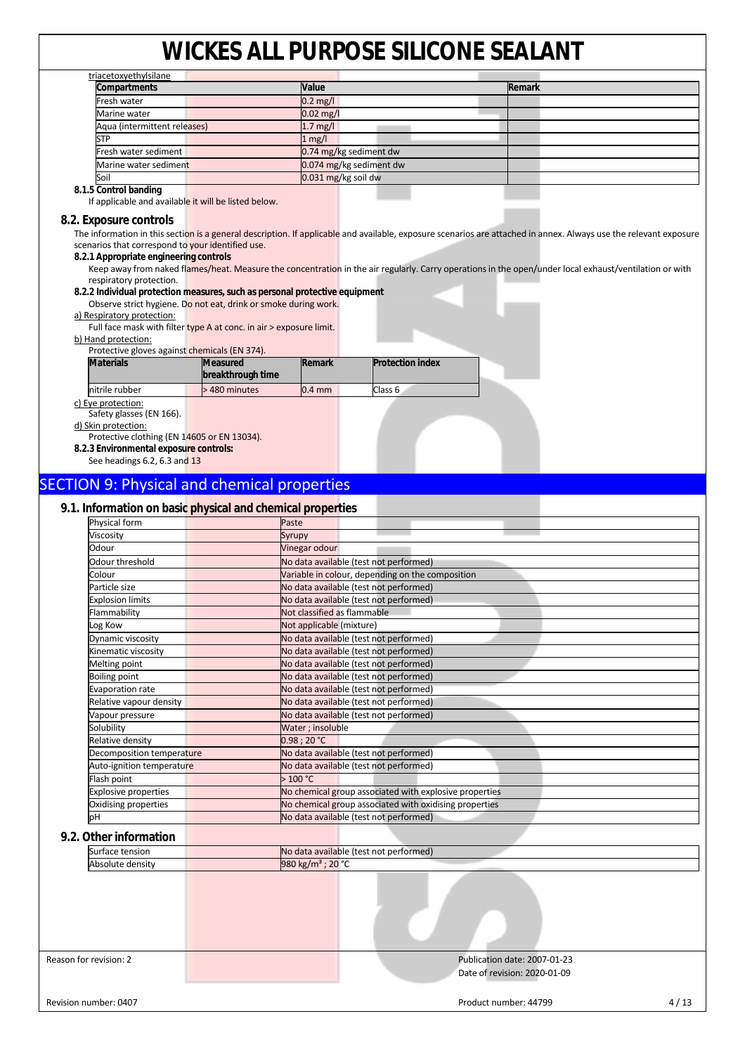| triacetoxyethylsilane                                                                      |                   |             |                                                                                                                                                                   |        |  |
|--------------------------------------------------------------------------------------------|-------------------|-------------|-------------------------------------------------------------------------------------------------------------------------------------------------------------------|--------|--|
| Compartments                                                                               |                   | Value       |                                                                                                                                                                   | Remark |  |
| Fresh water                                                                                |                   | $0.2$ mg/l  |                                                                                                                                                                   |        |  |
| Marine water                                                                               |                   | $0.02$ mg/l |                                                                                                                                                                   |        |  |
| Aqua (intermittent releases)                                                               |                   | $1.7$ mg/l  |                                                                                                                                                                   |        |  |
| <b>STP</b>                                                                                 |                   | $1$ mg/l    |                                                                                                                                                                   |        |  |
| Fresh water sediment                                                                       |                   |             | 0.74 mg/kg sediment dw                                                                                                                                            |        |  |
| Marine water sediment                                                                      |                   |             | 0.074 mg/kg sediment dw                                                                                                                                           |        |  |
| Soil                                                                                       |                   |             | 0.031 mg/kg soil dw                                                                                                                                               |        |  |
| 8.1.5 Control banding<br>If applicable and available it will be listed below.              |                   |             |                                                                                                                                                                   |        |  |
|                                                                                            |                   |             |                                                                                                                                                                   |        |  |
| 8.2. Exposure controls                                                                     |                   |             |                                                                                                                                                                   |        |  |
|                                                                                            |                   |             | The information in this section is a general description. If applicable and available, exposure scenarios are attached in annex. Always use the relevant exposure |        |  |
| scenarios that correspond to your identified use.                                          |                   |             |                                                                                                                                                                   |        |  |
| 8.2.1 Appropriate engineering controls                                                     |                   |             |                                                                                                                                                                   |        |  |
|                                                                                            |                   |             | Keep away from naked flames/heat. Measure the concentration in the air regularly. Carry operations in the open/under local exhaust/ventilation or with            |        |  |
| respiratory protection.                                                                    |                   |             |                                                                                                                                                                   |        |  |
| 8.2.2 Individual protection measures, such as personal protective equipment                |                   |             |                                                                                                                                                                   |        |  |
| Observe strict hygiene. Do not eat, drink or smoke during work.                            |                   |             |                                                                                                                                                                   |        |  |
| a) Respiratory protection:                                                                 |                   |             |                                                                                                                                                                   |        |  |
| Full face mask with filter type A at conc. in air > exposure limit.<br>b) Hand protection: |                   |             |                                                                                                                                                                   |        |  |
| Protective gloves against chemicals (EN 374).                                              |                   |             |                                                                                                                                                                   |        |  |
| <b>Materials</b>                                                                           | <b>Measured</b>   | Remark      | <b>Protection index</b>                                                                                                                                           |        |  |
|                                                                                            | breakthrough time |             |                                                                                                                                                                   |        |  |
| nitrile rubber                                                                             | >480 minutes      | $0.4$ mm    | Class <sub>6</sub>                                                                                                                                                |        |  |
| c) Eye protection:                                                                         |                   |             |                                                                                                                                                                   |        |  |
| Safety glasses (EN 166).                                                                   |                   |             |                                                                                                                                                                   |        |  |
| d) Skin protection:                                                                        |                   |             |                                                                                                                                                                   |        |  |
| Protective clothing (EN 14605 or EN 13034).                                                |                   |             |                                                                                                                                                                   |        |  |
| 8.2.3 Environmental exposure controls:                                                     |                   |             |                                                                                                                                                                   |        |  |
| See headings 6.2, 6.3 and 13                                                               |                   |             |                                                                                                                                                                   |        |  |
| <b>SECTION 9: Physical and chemical properties</b>                                         |                   |             |                                                                                                                                                                   |        |  |
|                                                                                            |                   |             |                                                                                                                                                                   |        |  |

#### **9.1. Information on basic physical and chemical properties**

| Physical form                           | Paste                                                  |
|-----------------------------------------|--------------------------------------------------------|
| Viscosity                               | Syrupy                                                 |
| Odour                                   | Vinegar odour                                          |
| Odour threshold                         | No data available (test not performed)                 |
| Colour                                  | Variable in colour, depending on the composition       |
| Particle size                           | No data available (test not performed)                 |
| <b>Explosion limits</b>                 | No data available (test not performed)                 |
| Flammability                            | Not classified as flammable                            |
| Log Kow                                 | Not applicable (mixture)                               |
| Dynamic viscosity                       | No data available (test not performed)                 |
| Kinematic viscosity                     | No data available (test not performed)                 |
| Melting point                           | No data available (test not performed)                 |
| <b>Boiling point</b>                    | No data available (test not performed)                 |
| <b>Evaporation rate</b>                 | No data available (test not performed)                 |
| Relative vapour density                 | No data available (test not performed)                 |
| Vapour pressure                         | No data available (test not performed)                 |
| Solubility                              | Water ; insoluble                                      |
| Relative density                        | 0.98:20 °C                                             |
| Decomposition temperature               | No data available (test not performed)                 |
| Auto-ignition temperatu <mark>re</mark> | No data available (test not performed)                 |
| Flash point                             | >100 °C                                                |
| <b>Explosive properties</b>             | No chemical group associated with explosive properties |
| Oxidising properties                    | No chemical group associated with oxidising properties |
| pН                                      | No data available (test not performed)                 |
| 9.2. Other information                  |                                                        |
| Surface tension                         | No data available (test not performed)                 |
| Absolute density                        | 980 kg/m <sup>3</sup> ; 20 °C                          |

Reason for revision: 2 **Publication date: 2007-01-23**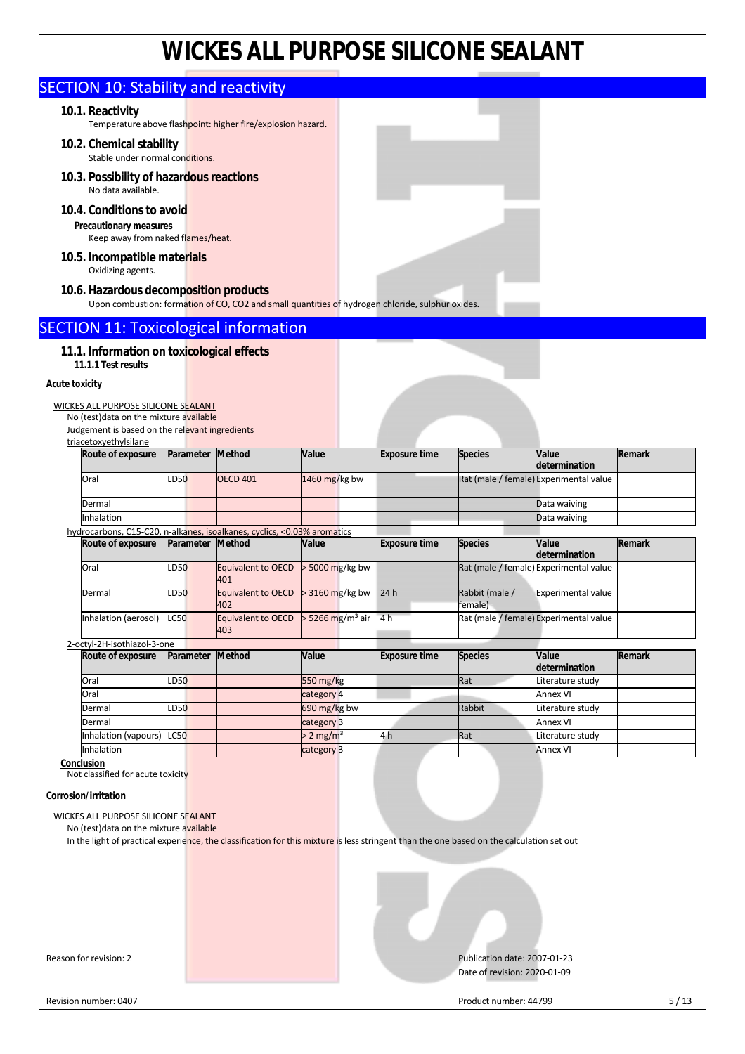|                                                                                                                                                                                      |                  | WICKES ALL PURPOSE SILICONE SEALAN I                                                             |                                |                      |                              |                                                         |        |
|--------------------------------------------------------------------------------------------------------------------------------------------------------------------------------------|------------------|--------------------------------------------------------------------------------------------------|--------------------------------|----------------------|------------------------------|---------------------------------------------------------|--------|
| <b>SECTION 10: Stability and reactivity</b>                                                                                                                                          |                  |                                                                                                  |                                |                      |                              |                                                         |        |
| 10.1. Reactivity                                                                                                                                                                     |                  |                                                                                                  |                                |                      |                              |                                                         |        |
| 10.2. Chemical stability                                                                                                                                                             |                  | Temperature above flashpoint: higher fire/explosion hazard.                                      |                                |                      |                              |                                                         |        |
| Stable under normal conditions.                                                                                                                                                      |                  |                                                                                                  |                                |                      |                              |                                                         |        |
| 10.3. Possibility of hazardous reactions<br>No data available.                                                                                                                       |                  |                                                                                                  |                                |                      |                              |                                                         |        |
| 10.4. Conditions to avoid                                                                                                                                                            |                  |                                                                                                  |                                |                      |                              |                                                         |        |
| Precautionary measures<br>Keep away from naked flames/heat.                                                                                                                          |                  |                                                                                                  |                                |                      |                              |                                                         |        |
| 10.5. Incompatible materials<br>Oxidizing agents.                                                                                                                                    |                  |                                                                                                  |                                |                      |                              |                                                         |        |
| 10.6. Hazardous decomposition products                                                                                                                                               |                  | Upon combustion: formation of CO, CO2 and small quantities of hydrogen chloride, sulphur oxides. |                                |                      |                              |                                                         |        |
| <b>SECTION 11: Toxicological information</b>                                                                                                                                         |                  |                                                                                                  |                                |                      |                              |                                                         |        |
| 11.1. Information on toxicological effects                                                                                                                                           |                  |                                                                                                  |                                |                      |                              |                                                         |        |
| 11.1.1 Test results                                                                                                                                                                  |                  |                                                                                                  |                                |                      |                              |                                                         |        |
| <b>Acute toxicity</b>                                                                                                                                                                |                  |                                                                                                  |                                |                      |                              |                                                         |        |
| WICKES ALL PURPOSE SILICONE SEALANT<br>No (test) data on the mixture available                                                                                                       |                  |                                                                                                  |                                |                      |                              |                                                         |        |
| Judgement is based on the relevant ingredients                                                                                                                                       |                  |                                                                                                  |                                |                      |                              |                                                         |        |
| triacetoxyethylsilane<br>Route of exposure                                                                                                                                           | Parameter Method |                                                                                                  | Value                          | <b>Exposure time</b> | <b>Species</b>               | Value                                                   | Remark |
| Oral                                                                                                                                                                                 | LD50             | <b>OECD 401</b>                                                                                  | 1460 mg/kg bw                  |                      |                              | determination<br>Rat (male / female) Experimental value |        |
|                                                                                                                                                                                      |                  |                                                                                                  |                                |                      |                              |                                                         |        |
| Dermal<br>Inhalation                                                                                                                                                                 |                  |                                                                                                  |                                |                      |                              | Data waiving<br>Data waiving                            |        |
| hydrocarbons, C15-C20, n-alkanes, isoalkanes, cyclics, <0.03% aromatics                                                                                                              |                  |                                                                                                  |                                |                      |                              |                                                         |        |
| Route of exposure                                                                                                                                                                    | Parameter        | <b>Method</b>                                                                                    | Value                          | <b>Exposure time</b> | <b>Species</b>               | Value                                                   | Remark |
| Oral                                                                                                                                                                                 | LD50             | Equivalent to OECD                                                                               | > 5000 mg/kg bw                |                      |                              | determination<br>Rat (male / female) Experimental value |        |
| Dermal                                                                                                                                                                               | LD50             | 401<br><b>Equivalent to OECD</b>                                                                 | > 3160 mg/kg bw                | 24h                  | Rabbit (male /<br>female)    | <b>Experimental value</b>                               |        |
| Inhalation (aerosol)                                                                                                                                                                 | <b>LC50</b>      | 402<br><b>Equivalent to OECD</b><br>403                                                          | $>$ 5266 mg/m <sup>3</sup> air | 4 h                  |                              | Rat (male / female) Experimental value                  |        |
| 2-octyl-2H-isothiazol-3-one                                                                                                                                                          |                  |                                                                                                  |                                |                      |                              |                                                         |        |
| Route of exposure                                                                                                                                                                    | Parameter        | <b>Method</b>                                                                                    | Value                          | <b>Exposure time</b> | <b>Species</b>               | Value<br>determination                                  | Remark |
| Oral                                                                                                                                                                                 | LD50             |                                                                                                  | 550 mg/kg                      |                      | Rat                          | Literature study                                        |        |
| Oral                                                                                                                                                                                 |                  |                                                                                                  | category 4                     |                      |                              | Annex VI                                                |        |
| Dermal                                                                                                                                                                               | LD50             |                                                                                                  | 690 mg/kg bw                   |                      | Rabbit                       | Literature study                                        |        |
| Dermal                                                                                                                                                                               |                  |                                                                                                  | category 3                     |                      |                              | <b>Annex VI</b>                                         |        |
| Inhalation (vapours)                                                                                                                                                                 | <b>LC50</b>      |                                                                                                  | $> 2$ mg/m <sup>3</sup>        | 4 h                  | Rat                          | Literature study                                        |        |
| Inhalation<br>Conclusion                                                                                                                                                             |                  |                                                                                                  | category 3                     |                      |                              | <b>Annex VI</b>                                         |        |
| Not classified for acute toxicity                                                                                                                                                    |                  |                                                                                                  |                                |                      |                              |                                                         |        |
| Corrosion/irritation                                                                                                                                                                 |                  |                                                                                                  |                                |                      |                              |                                                         |        |
|                                                                                                                                                                                      |                  |                                                                                                  |                                |                      |                              |                                                         |        |
| WICKES ALL PURPOSE SILICONE SEALANT                                                                                                                                                  |                  |                                                                                                  |                                |                      |                              |                                                         |        |
| No (test) data on the mixture available<br>In the light of practical experience, the classification for this mixture is less stringent than the one based on the calculation set out |                  |                                                                                                  |                                |                      |                              |                                                         |        |
|                                                                                                                                                                                      |                  |                                                                                                  |                                |                      |                              |                                                         |        |
|                                                                                                                                                                                      |                  |                                                                                                  |                                |                      |                              |                                                         |        |
|                                                                                                                                                                                      |                  |                                                                                                  |                                |                      |                              |                                                         |        |
|                                                                                                                                                                                      |                  |                                                                                                  |                                |                      |                              |                                                         |        |
|                                                                                                                                                                                      |                  |                                                                                                  |                                |                      |                              |                                                         |        |
|                                                                                                                                                                                      |                  |                                                                                                  |                                |                      |                              |                                                         |        |
|                                                                                                                                                                                      |                  |                                                                                                  |                                |                      |                              |                                                         |        |
| Reason for revision: 2                                                                                                                                                               |                  |                                                                                                  |                                |                      | Publication date: 2007-01-23 |                                                         |        |
|                                                                                                                                                                                      |                  |                                                                                                  |                                |                      | Date of revision: 2020-01-09 |                                                         |        |
|                                                                                                                                                                                      |                  |                                                                                                  |                                |                      |                              |                                                         |        |
| Revision number: 0407                                                                                                                                                                |                  |                                                                                                  |                                |                      | Product number: 44799        |                                                         | 5/13   |

T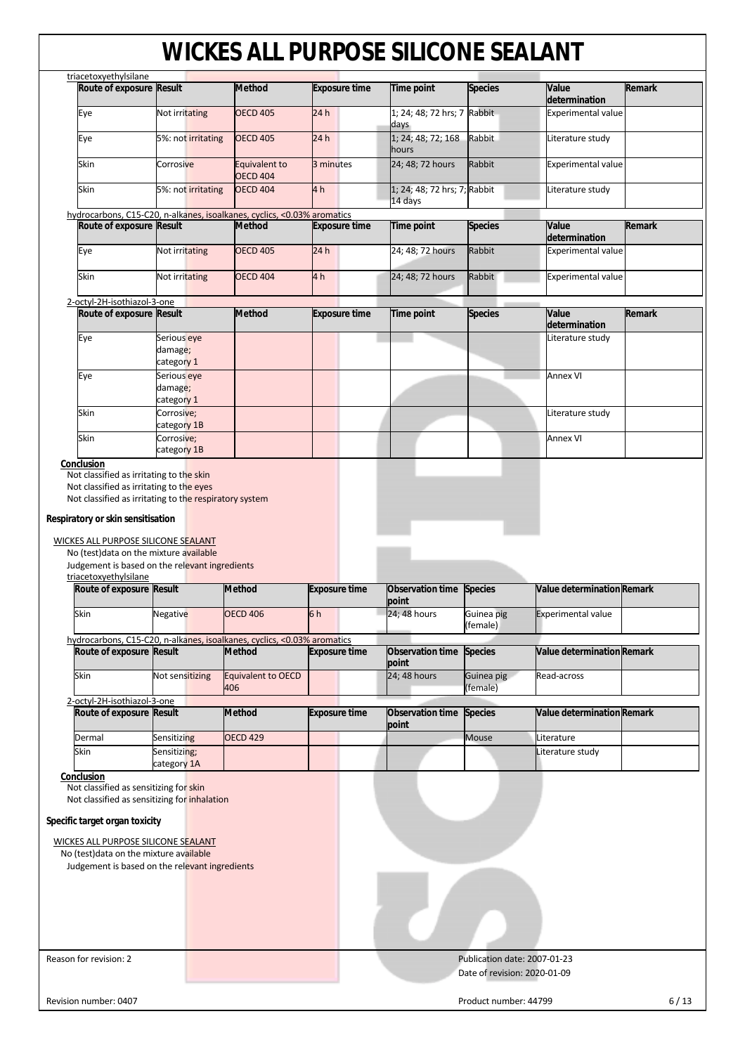|                                                                                                                                                                                                                                                                                                                                                                                                                                                                                               | Route of exposure Result             | <b>Method</b>                                                           | <b>Exposure time</b> | <b>Time point</b>                       | <b>Species</b>                                               | Value<br>determination         | Remark        |
|-----------------------------------------------------------------------------------------------------------------------------------------------------------------------------------------------------------------------------------------------------------------------------------------------------------------------------------------------------------------------------------------------------------------------------------------------------------------------------------------------|--------------------------------------|-------------------------------------------------------------------------|----------------------|-----------------------------------------|--------------------------------------------------------------|--------------------------------|---------------|
| Eye                                                                                                                                                                                                                                                                                                                                                                                                                                                                                           | Not irritating                       | <b>OECD 405</b>                                                         | 24h                  | 1; 24; 48; 72 hrs; 7 Rabbit<br>days     |                                                              | <b>Experimental value</b>      |               |
| Eye                                                                                                                                                                                                                                                                                                                                                                                                                                                                                           | 5%: not irritating                   | <b>OECD 405</b>                                                         | 24h                  | 1; 24; 48; 72; 168<br>hours             | Rabbit                                                       | Literature study               |               |
| Skin                                                                                                                                                                                                                                                                                                                                                                                                                                                                                          | Corrosive                            | Equivalent to<br><b>OECD 404</b>                                        | 3 minutes            | 24; 48; 72 hours                        | Rabbit                                                       | <b>Experimental value</b>      |               |
| Skin                                                                                                                                                                                                                                                                                                                                                                                                                                                                                          | 5%: not irritating                   | <b>OECD 404</b>                                                         | 4 <sub>h</sub>       | 1; 24; 48; 72 hrs; 7; Rabbit<br>14 days |                                                              | Literature study               |               |
|                                                                                                                                                                                                                                                                                                                                                                                                                                                                                               |                                      | hydrocarbons, C15-C20, n-alkanes, isoalkanes, cyclics, <0.03% aromatics |                      |                                         |                                                              |                                |               |
| Route of exposure Result                                                                                                                                                                                                                                                                                                                                                                                                                                                                      |                                      | Method                                                                  | <b>Exposure time</b> | <b>Time point</b>                       | <b>Species</b>                                               | Value<br>determination         | Remark        |
| Eye                                                                                                                                                                                                                                                                                                                                                                                                                                                                                           | Not irritating                       | <b>OECD 405</b>                                                         | 24h                  | 24; 48; 72 hours                        | Rabbit                                                       | <b>Experimental value</b>      |               |
| Skin                                                                                                                                                                                                                                                                                                                                                                                                                                                                                          | Not irritating                       | <b>OECD 404</b>                                                         | 4h                   | 24; 48; 72 hours                        | Rabbit                                                       | <b>Experimental value</b>      |               |
| 2-octyl-2H-isothiazol-3-one                                                                                                                                                                                                                                                                                                                                                                                                                                                                   |                                      |                                                                         |                      |                                         |                                                              |                                |               |
| Route of exposure Result                                                                                                                                                                                                                                                                                                                                                                                                                                                                      |                                      | <b>Method</b>                                                           | <b>Exposure time</b> | <b>Time point</b>                       | <b>Species</b>                                               | Value<br>determination         | <b>Remark</b> |
| Eye                                                                                                                                                                                                                                                                                                                                                                                                                                                                                           | Serious eye<br>damage;<br>category 1 |                                                                         |                      |                                         |                                                              | Literature study               |               |
| Eye                                                                                                                                                                                                                                                                                                                                                                                                                                                                                           | Serious eye                          |                                                                         |                      |                                         |                                                              | <b>Annex VI</b>                |               |
|                                                                                                                                                                                                                                                                                                                                                                                                                                                                                               | damage;<br>category 1                |                                                                         |                      |                                         |                                                              |                                |               |
| Skin                                                                                                                                                                                                                                                                                                                                                                                                                                                                                          | Corrosive;<br>category 1B            |                                                                         |                      |                                         |                                                              | Literature study               |               |
| Skin                                                                                                                                                                                                                                                                                                                                                                                                                                                                                          | Corrosive;                           |                                                                         |                      |                                         |                                                              | <b>Annex VI</b>                |               |
| Conclusion                                                                                                                                                                                                                                                                                                                                                                                                                                                                                    | category 1B                          |                                                                         |                      |                                         |                                                              |                                |               |
|                                                                                                                                                                                                                                                                                                                                                                                                                                                                                               |                                      |                                                                         |                      |                                         |                                                              |                                |               |
|                                                                                                                                                                                                                                                                                                                                                                                                                                                                                               |                                      |                                                                         |                      |                                         |                                                              |                                |               |
|                                                                                                                                                                                                                                                                                                                                                                                                                                                                                               |                                      | <b>Method</b>                                                           | <b>Exposure time</b> | Observation time<br>point               | <b>Species</b>                                               | Value determination Remark     |               |
|                                                                                                                                                                                                                                                                                                                                                                                                                                                                                               | Negative                             | <b>OECD 406</b>                                                         | 6h                   | 24; 48 hours                            | Guinea pig<br>(female)                                       | <b>Experimental value</b>      |               |
|                                                                                                                                                                                                                                                                                                                                                                                                                                                                                               |                                      | hydrocarbons, C15-C20, n-alkanes, isoalkanes, cyclics, <0.03% aromatics |                      |                                         |                                                              |                                |               |
|                                                                                                                                                                                                                                                                                                                                                                                                                                                                                               |                                      | <b>Method</b>                                                           | <b>Exposure time</b> | Observation time<br>point               | <b>Species</b>                                               | Value determination Remark     |               |
|                                                                                                                                                                                                                                                                                                                                                                                                                                                                                               | Not sensitizing                      | Equivalent to OECD<br>406                                               |                      | 24; 48 hours                            | Guinea pig<br>(female)                                       | Read-across                    |               |
|                                                                                                                                                                                                                                                                                                                                                                                                                                                                                               |                                      | <b>Method</b>                                                           | <b>Exposure time</b> | Observation time                        | <b>Species</b>                                               | Value determination Remark     |               |
|                                                                                                                                                                                                                                                                                                                                                                                                                                                                                               |                                      |                                                                         |                      | point                                   |                                                              |                                |               |
|                                                                                                                                                                                                                                                                                                                                                                                                                                                                                               | <b>Sensitizing</b><br>Sensitizing;   | <b>OECD 429</b>                                                         |                      |                                         | Mouse                                                        | Literature<br>Literature study |               |
|                                                                                                                                                                                                                                                                                                                                                                                                                                                                                               | category 1A                          |                                                                         |                      |                                         |                                                              |                                |               |
|                                                                                                                                                                                                                                                                                                                                                                                                                                                                                               |                                      |                                                                         |                      |                                         |                                                              |                                |               |
| Respiratory or skin sensitisation<br>WICKES ALL PURPOSE SILICONE SEALANT<br>No (test) data on the mixture available<br>Judgement is based on the relevant ingredients<br>triacetoxyethylsilane<br>Route of exposure Result<br>Skin<br>Route of exposure Result<br>Skin<br>2-octyl-2H-isothiazol-3-one<br>Route of exposure Result<br>Dermal<br>Skin<br>Conclusion<br>Not classified as sensitizing for skin<br>Not classified as sensitizing for inhalation<br>Specific target organ toxicity |                                      |                                                                         |                      |                                         |                                                              |                                |               |
| WICKES ALL PURPOSE SILICONE SEALANT                                                                                                                                                                                                                                                                                                                                                                                                                                                           |                                      |                                                                         |                      |                                         |                                                              |                                |               |
|                                                                                                                                                                                                                                                                                                                                                                                                                                                                                               |                                      |                                                                         |                      |                                         |                                                              |                                |               |
| No (test) data on the mixture available<br>Judgement is based on the relevant ingredients                                                                                                                                                                                                                                                                                                                                                                                                     |                                      |                                                                         |                      |                                         |                                                              |                                |               |
|                                                                                                                                                                                                                                                                                                                                                                                                                                                                                               |                                      |                                                                         |                      |                                         |                                                              |                                |               |
|                                                                                                                                                                                                                                                                                                                                                                                                                                                                                               |                                      |                                                                         |                      |                                         |                                                              |                                |               |
| Reason for revision: 2                                                                                                                                                                                                                                                                                                                                                                                                                                                                        |                                      |                                                                         |                      |                                         | Publication date: 2007-01-23<br>Date of revision: 2020-01-09 |                                |               |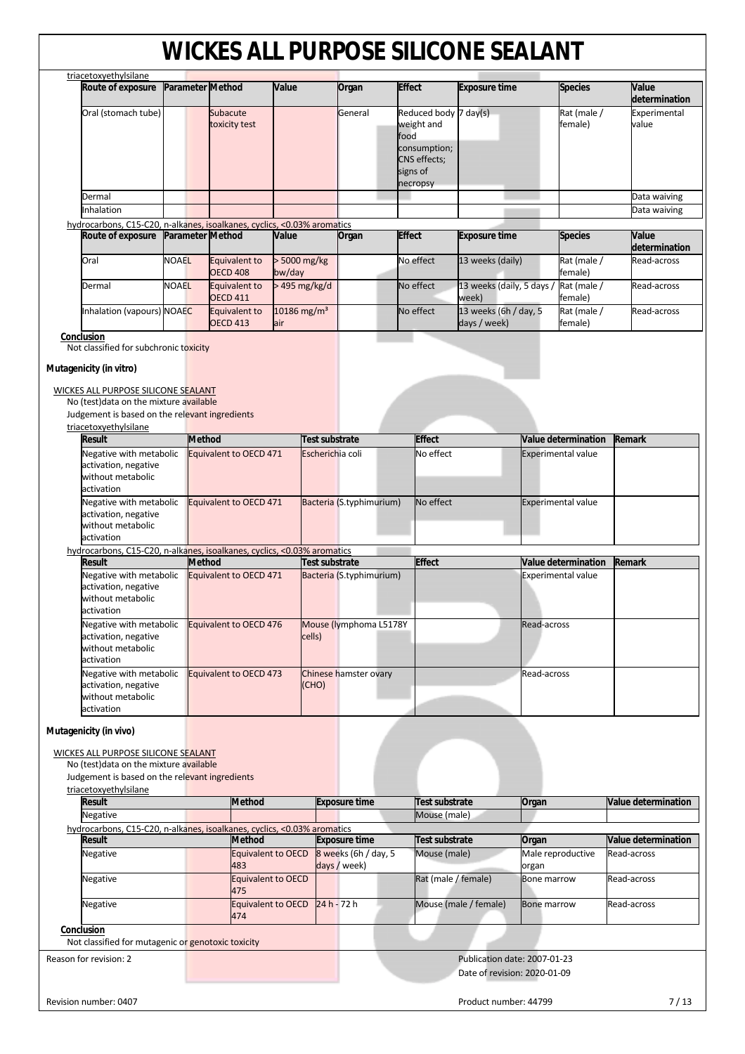|                                                                                    |              | Parameter Method                 | Value                          |                       | Organ                    | <b>Effect</b> |                                                 | <b>Exposure time</b>                  |             | <b>Species</b>             | Value                                  |
|------------------------------------------------------------------------------------|--------------|----------------------------------|--------------------------------|-----------------------|--------------------------|---------------|-------------------------------------------------|---------------------------------------|-------------|----------------------------|----------------------------------------|
| Oral (stomach tube)                                                                |              | Subacute<br>toxicity test        |                                |                       | General                  | food          | Reduced body 7 day(s)<br>weight and             |                                       |             | Rat (male /<br>female)     | determination<br>Experimental<br>value |
|                                                                                    |              |                                  |                                |                       |                          | signs of      | consumption;<br><b>CNS</b> effects;<br>necropsy |                                       |             |                            |                                        |
| Dermal                                                                             |              |                                  |                                |                       |                          |               |                                                 |                                       |             |                            | Data waiving                           |
| Inhalation                                                                         |              |                                  |                                |                       |                          |               |                                                 |                                       |             |                            | Data waiving                           |
| hydrocarbons, C15-C20, n-alkanes, isoalkanes, cyclics, <0.03% aromatics            |              |                                  |                                |                       |                          |               |                                                 |                                       |             |                            |                                        |
| Route of exposure                                                                  |              | <b>Parameter Method</b>          | Value                          |                       | Organ                    | <b>Effect</b> |                                                 | <b>Exposure time</b>                  |             | <b>Species</b>             | Value<br>determination                 |
| Oral                                                                               | <b>NOAEL</b> | Equivalent to<br><b>OECD 408</b> | > 5000 mg/kg<br>bw/day         |                       |                          |               | No effect                                       | 13 weeks (daily)                      |             | Rat (male /<br>female)     | Read-across                            |
| Dermal                                                                             | <b>NOAEL</b> | Equivalent to<br><b>OECD 411</b> | > 495 mg/kg/d                  |                       |                          |               | No effect                                       | 13 weeks (daily, 5 days /<br>week)    |             | Rat (male /<br>female)     | Read-across                            |
| Inhalation (vapours) NOAEC                                                         |              | Equivalent to<br><b>OECD 413</b> | 10186 mg/m <sup>3</sup><br>air |                       |                          |               | No effect                                       | 13 weeks (6h / day, 5<br>days / week) |             | Rat (male /<br>female)     | Read-across                            |
| Conclusion<br>Not classified for subchronic toxicity                               |              |                                  |                                |                       |                          |               |                                                 |                                       |             |                            |                                        |
| Mutagenicity (in vitro)                                                            |              |                                  |                                |                       |                          |               |                                                 |                                       |             |                            |                                        |
|                                                                                    |              |                                  |                                |                       |                          |               |                                                 |                                       |             |                            |                                        |
| WICKES ALL PURPOSE SILICONE SEALANT<br>No (test) data on the mixture available     |              |                                  |                                |                       |                          |               |                                                 |                                       |             |                            |                                        |
| Judgement is based on the relevant ingredients                                     |              |                                  |                                |                       |                          |               |                                                 |                                       |             |                            |                                        |
| triacetoxyethylsilane                                                              |              |                                  |                                |                       |                          |               |                                                 |                                       |             |                            |                                        |
| <b>Result</b>                                                                      |              | <b>Method</b>                    |                                | Test substrate        |                          |               | <b>Effect</b>                                   |                                       |             | <b>Value determination</b> | Remark                                 |
| Negative with metabolic                                                            |              | Equivalent to OECD 471           |                                | Escherichia coli      |                          |               | No effect                                       |                                       |             | <b>Experimental value</b>  |                                        |
| activation, negative<br>without metabolic<br>activation                            |              |                                  |                                |                       |                          |               |                                                 |                                       |             |                            |                                        |
| Negative with metabolic                                                            |              | Equivalent to OECD 471           |                                |                       | Bacteria (S.typhimurium) |               | No effect                                       |                                       |             | <b>Experimental value</b>  |                                        |
| activation, negative<br>without metabolic<br>activation                            |              |                                  |                                |                       |                          |               |                                                 |                                       |             |                            |                                        |
| hydrocarbons, C15-C20, n-alkanes, isoalkanes, cyclics, <0.03% aromatics            |              |                                  |                                |                       |                          |               |                                                 |                                       |             |                            |                                        |
| <b>Result</b>                                                                      |              | <b>Method</b>                    |                                | <b>Test substrate</b> |                          |               | <b>Effect</b>                                   |                                       |             | Value determination        | Remark                                 |
| Negative with metabolic                                                            |              | Equivalent to OECD 471           |                                |                       | Bacteria (S.typhimurium) |               |                                                 |                                       |             | <b>Experimental value</b>  |                                        |
| activation, negative<br>without metabolic<br>activation                            |              |                                  |                                |                       |                          |               |                                                 |                                       |             |                            |                                        |
| Negative with metabolic<br>activation, negative<br>without metabolic<br>activation |              | Equivalent to OECD 476           |                                | cells)                | Mouse (lymphoma L5178Y   |               |                                                 |                                       | Read-across |                            |                                        |
| Negative with metabolic<br>activation, negative<br>without metabolic<br>activation |              | Equivalent to OECD 473           |                                | (CHO)                 | Chinese hamster ovary    |               |                                                 |                                       | Read-across |                            |                                        |
| Mutagenicity (in vivo)                                                             |              |                                  |                                |                       |                          |               |                                                 |                                       |             |                            |                                        |

| triacetoxyethylsilane                                                   |                           |                                      |                              |                              |                            |
|-------------------------------------------------------------------------|---------------------------|--------------------------------------|------------------------------|------------------------------|----------------------------|
| Result                                                                  | <b>Method</b>             | <b>Exposure time</b>                 | Test substrate               | Organ                        | <b>Value determination</b> |
| Negative                                                                |                           |                                      | Mouse (male)                 |                              |                            |
| hydrocarbons, C15-C20, n-alkanes, isoalkanes, cyclics, <0.03% aromatics |                           |                                      |                              |                              |                            |
| Result                                                                  | <b>Method</b>             | <b>Exposure time</b>                 | Test substrate               | Organ                        | <b>Value determination</b> |
| Negative                                                                | Equivalent to OECD<br>483 | 8 weeks (6h / day, 5<br>days / week) | Mouse (male)                 | Male reproductive<br>organ   | Read-across                |
| Negative                                                                | Equivalent to OECD<br>475 |                                      | Rat (male / female)          | <b>Bone marrow</b>           | Read-across                |
| Negative                                                                | Equivalent to OECD<br>474 | $24 h - 72 h$                        | Mouse (male / female)        | <b>Bone marrow</b>           | Read-across                |
| Conclusion<br>Not classified for mutagenic or genotoxic toxicity        |                           |                                      |                              |                              |                            |
| Reason for revision: 2                                                  |                           |                                      | Date of revision: 2020-01-09 | Publication date: 2007-01-23 |                            |
| Revision number: 0407                                                   |                           |                                      | Product number: 44799        |                              | 7/13                       |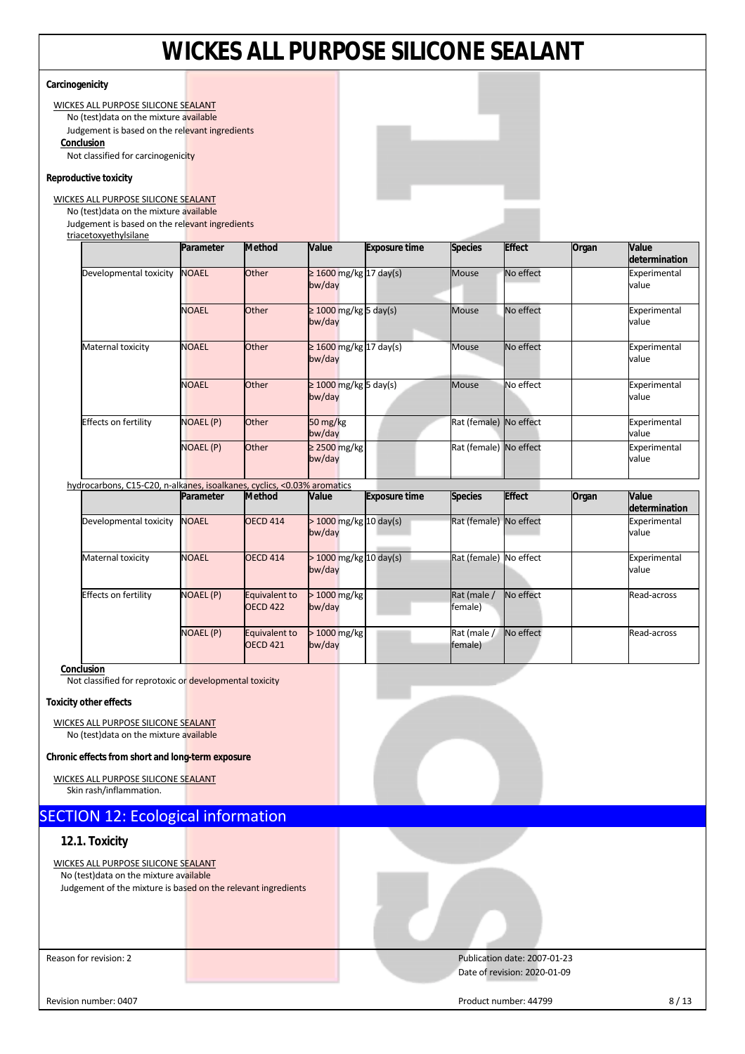|                                                                                           |                  |                                  |                                        | <u> VVIUNLJ ALL FUNFUJL JILIUUIVL JLALAIVI</u> |                        |                              |       |                        |
|-------------------------------------------------------------------------------------------|------------------|----------------------------------|----------------------------------------|------------------------------------------------|------------------------|------------------------------|-------|------------------------|
| Carcinogenicity                                                                           |                  |                                  |                                        |                                                |                        |                              |       |                        |
| <b>WICKES ALL PURPOSE SILICONE SEALANT</b>                                                |                  |                                  |                                        |                                                |                        |                              |       |                        |
| No (test) data on the mixture available<br>Judgement is based on the relevant ingredients |                  |                                  |                                        |                                                |                        |                              |       |                        |
| Conclusion                                                                                |                  |                                  |                                        |                                                |                        |                              |       |                        |
| Not classified for carcinogenicity                                                        |                  |                                  |                                        |                                                |                        |                              |       |                        |
| Reproductive toxicity                                                                     |                  |                                  |                                        |                                                |                        |                              |       |                        |
| WICKES ALL PURPOSE SILICONE SEALANT                                                       |                  |                                  |                                        |                                                |                        |                              |       |                        |
| No (test) data on the mixture available<br>Judgement is based on the relevant ingredients |                  |                                  |                                        |                                                |                        |                              |       |                        |
| triacetoxyethylsilane                                                                     |                  |                                  |                                        |                                                |                        |                              |       |                        |
|                                                                                           | Parameter        | <b>Method</b>                    | Value                                  | <b>Exposure time</b>                           | <b>Species</b>         | <b>Effect</b>                | Organ | Value<br>determination |
| Developmental toxicity                                                                    | <b>NOAEL</b>     | Other                            | $\geq 1600$ mg/kg 17 day(s)<br>bw/day  |                                                | <b>Mouse</b>           | No effect                    |       | Experimental<br>value  |
|                                                                                           | <b>NOAEL</b>     | Other                            | $\geq 1000$ mg/kg 5 day(s)<br>bw/day   |                                                | <b>Mouse</b>           | No effect                    |       | Experimental<br>value  |
| Maternal toxicity                                                                         | <b>NOAEL</b>     | Other                            | $\geq$ 1600 mg/kg 17 day(s)<br>bw/day  |                                                | Mouse                  | No effect                    |       | Experimental<br>value  |
|                                                                                           | <b>NOAEL</b>     | Other                            | $\geq 1000$ mg/kg $5$ day(s)<br>bw/day |                                                | <b>Mouse</b>           | No effect                    |       | Experimental<br>value  |
| Effects on fertility                                                                      | NOAEL (P)        | Other                            | 50 mg/kg<br>bw/day                     |                                                | Rat (female) No effect |                              |       | Experimental<br>value  |
|                                                                                           | NOAEL (P)        | Other                            | $\geq$ 2500 mg/kg<br>bw/day            |                                                | Rat (female) No effect |                              |       | Experimental<br>value  |
| hydrocarbons, C15-C20, n-alkanes, isoalkanes, cyclics, <0.03% aromatics                   |                  |                                  |                                        |                                                |                        |                              |       |                        |
|                                                                                           | Parameter        | <b>Method</b>                    | Value                                  | <b>Exposure time</b>                           | <b>Species</b>         | <b>Effect</b>                | Organ | Value<br>determination |
| Developmental toxicity                                                                    | <b>NOAEL</b>     | <b>OECD 414</b>                  | > 1000 mg/kg 10 day(s)<br>bw/day       |                                                | Rat (female) No effect |                              |       | Experimental<br>value  |
| Maternal toxicity                                                                         | <b>NOAEL</b>     | <b>OECD 414</b>                  | $>$ 1000 mg/kg 10 day(s)<br>bw/day     |                                                | Rat (female) No effect |                              |       | Experimental<br>value  |
| Effects on fertility                                                                      | <b>NOAEL (P)</b> | Equivalent to<br><b>OECD 422</b> | $>1000$ mg/kg<br>bw/day                |                                                | Rat (male /<br>female) | No effect                    |       | Read-across            |
|                                                                                           | NOAEL (P)        | Equivalent to<br><b>OECD 421</b> | > 1000 mg/kg<br>bw/day                 |                                                | Rat (male /<br>female) | No effect                    |       | Read-across            |
| Conclusion<br>Not classified for reprotoxic or developmental toxicity                     |                  |                                  |                                        |                                                |                        |                              |       |                        |
| <b>Toxicity other effects</b>                                                             |                  |                                  |                                        |                                                |                        |                              |       |                        |
| WICKES ALL PURPOSE SILICONE SEALANT<br>No (test) data on the mixture available            |                  |                                  |                                        |                                                |                        |                              |       |                        |
| Chronic effects from short and long-term exposure                                         |                  |                                  |                                        |                                                |                        |                              |       |                        |
| <b>WICKES ALL PURPOSE SILICONE SEALANT</b><br>Skin rash/inflammation.                     |                  |                                  |                                        |                                                |                        |                              |       |                        |
| <b>SECTION 12: Ecological information</b>                                                 |                  |                                  |                                        |                                                |                        |                              |       |                        |
| 12.1. Toxicity                                                                            |                  |                                  |                                        |                                                |                        |                              |       |                        |
| <b>WICKES ALL PURPOSE SILICONE SEALANT</b>                                                |                  |                                  |                                        |                                                |                        |                              |       |                        |
| No (test) data on the mixture available                                                   |                  |                                  |                                        |                                                |                        |                              |       |                        |
| Judgement of the mixture is based on the relevant ingredients                             |                  |                                  |                                        |                                                |                        |                              |       |                        |
|                                                                                           |                  |                                  |                                        |                                                |                        |                              |       |                        |
|                                                                                           |                  |                                  |                                        |                                                |                        |                              |       |                        |
| Reason for revision: 2                                                                    |                  |                                  |                                        |                                                |                        | Publication date: 2007-01-23 |       |                        |
|                                                                                           |                  |                                  |                                        |                                                |                        | Date of revision: 2020-01-09 |       |                        |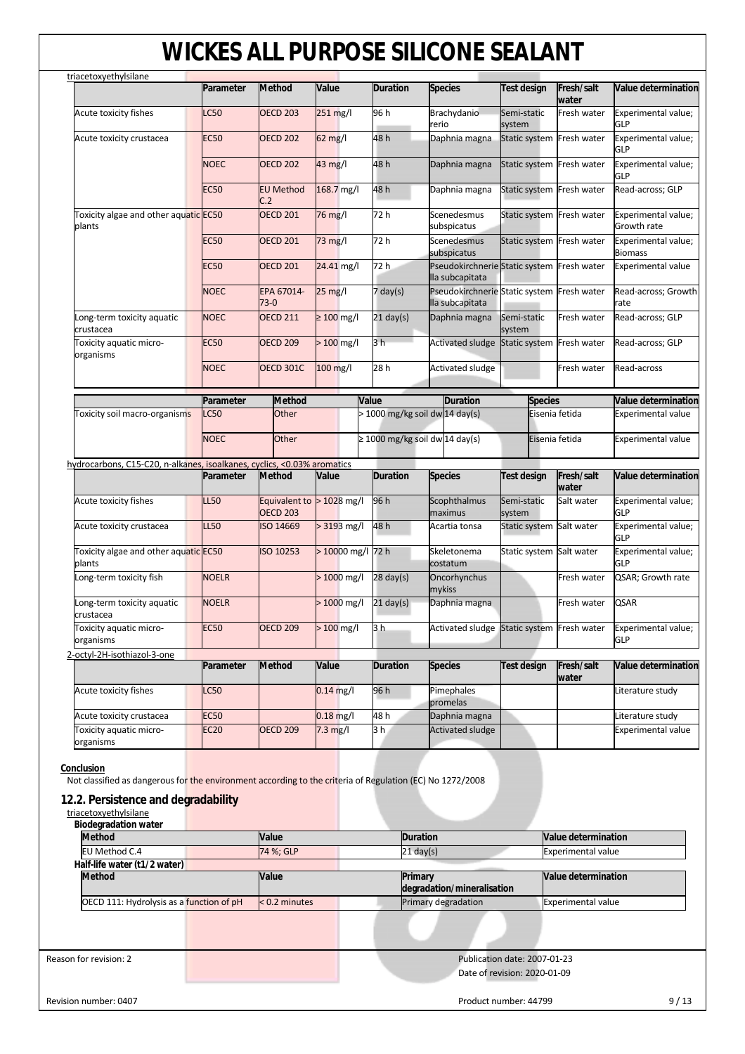| Test design<br>Semi-static<br>system<br>Semi-static<br>system<br><b>Species</b><br>Test design<br>Semi-static<br>system | Fresh/salt<br>water<br>Fresh water<br>Static system Fresh water<br>Static system Fresh water<br>Static system Fresh water<br>Static system Fresh water<br>Static system Fresh water<br>Pseudokirchnerie Static system Fresh water<br>Pseudokirchnerie Static system Fresh water<br>Fresh water<br>Static system Fresh water<br>Fresh water<br>Eisenia fetida<br>Eisenia fetida<br>Fresh/salt<br>water | Value determination<br>Experimental value;<br>GLP<br>Experimental value;<br><b>GLP</b><br>Experimental value;<br>GLP<br>Read-across; GLP<br>Experimental value;<br>Growth rate<br>Experimental value;<br><b>Biomass</b><br><b>Experimental value</b><br>Read-across; Growth<br>rate<br>Read-across; GLP<br>Read-across; GLP<br>Read-across<br><b>Value determination</b><br><b>Experimental value</b><br><b>Experimental value</b><br>Value determination |
|-------------------------------------------------------------------------------------------------------------------------|-------------------------------------------------------------------------------------------------------------------------------------------------------------------------------------------------------------------------------------------------------------------------------------------------------------------------------------------------------------------------------------------------------|-----------------------------------------------------------------------------------------------------------------------------------------------------------------------------------------------------------------------------------------------------------------------------------------------------------------------------------------------------------------------------------------------------------------------------------------------------------|
|                                                                                                                         |                                                                                                                                                                                                                                                                                                                                                                                                       |                                                                                                                                                                                                                                                                                                                                                                                                                                                           |
|                                                                                                                         |                                                                                                                                                                                                                                                                                                                                                                                                       |                                                                                                                                                                                                                                                                                                                                                                                                                                                           |
|                                                                                                                         |                                                                                                                                                                                                                                                                                                                                                                                                       |                                                                                                                                                                                                                                                                                                                                                                                                                                                           |
|                                                                                                                         |                                                                                                                                                                                                                                                                                                                                                                                                       |                                                                                                                                                                                                                                                                                                                                                                                                                                                           |
|                                                                                                                         |                                                                                                                                                                                                                                                                                                                                                                                                       |                                                                                                                                                                                                                                                                                                                                                                                                                                                           |
|                                                                                                                         |                                                                                                                                                                                                                                                                                                                                                                                                       |                                                                                                                                                                                                                                                                                                                                                                                                                                                           |
|                                                                                                                         |                                                                                                                                                                                                                                                                                                                                                                                                       |                                                                                                                                                                                                                                                                                                                                                                                                                                                           |
|                                                                                                                         |                                                                                                                                                                                                                                                                                                                                                                                                       |                                                                                                                                                                                                                                                                                                                                                                                                                                                           |
|                                                                                                                         |                                                                                                                                                                                                                                                                                                                                                                                                       |                                                                                                                                                                                                                                                                                                                                                                                                                                                           |
|                                                                                                                         |                                                                                                                                                                                                                                                                                                                                                                                                       |                                                                                                                                                                                                                                                                                                                                                                                                                                                           |
|                                                                                                                         |                                                                                                                                                                                                                                                                                                                                                                                                       |                                                                                                                                                                                                                                                                                                                                                                                                                                                           |
|                                                                                                                         |                                                                                                                                                                                                                                                                                                                                                                                                       |                                                                                                                                                                                                                                                                                                                                                                                                                                                           |
|                                                                                                                         |                                                                                                                                                                                                                                                                                                                                                                                                       |                                                                                                                                                                                                                                                                                                                                                                                                                                                           |
|                                                                                                                         |                                                                                                                                                                                                                                                                                                                                                                                                       |                                                                                                                                                                                                                                                                                                                                                                                                                                                           |
|                                                                                                                         |                                                                                                                                                                                                                                                                                                                                                                                                       |                                                                                                                                                                                                                                                                                                                                                                                                                                                           |
|                                                                                                                         |                                                                                                                                                                                                                                                                                                                                                                                                       |                                                                                                                                                                                                                                                                                                                                                                                                                                                           |
|                                                                                                                         |                                                                                                                                                                                                                                                                                                                                                                                                       |                                                                                                                                                                                                                                                                                                                                                                                                                                                           |
|                                                                                                                         | Salt water                                                                                                                                                                                                                                                                                                                                                                                            | Experimental value;<br>GLP                                                                                                                                                                                                                                                                                                                                                                                                                                |
|                                                                                                                         | Static system Salt water                                                                                                                                                                                                                                                                                                                                                                              | Experimental value;<br>GLP                                                                                                                                                                                                                                                                                                                                                                                                                                |
|                                                                                                                         | Static system Salt water                                                                                                                                                                                                                                                                                                                                                                              | Experimental value;<br><b>GLP</b>                                                                                                                                                                                                                                                                                                                                                                                                                         |
|                                                                                                                         | Fresh water                                                                                                                                                                                                                                                                                                                                                                                           | QSAR; Growth rate                                                                                                                                                                                                                                                                                                                                                                                                                                         |
|                                                                                                                         | Fresh water                                                                                                                                                                                                                                                                                                                                                                                           | <b>QSAR</b>                                                                                                                                                                                                                                                                                                                                                                                                                                               |
|                                                                                                                         |                                                                                                                                                                                                                                                                                                                                                                                                       | <b>GLP</b>                                                                                                                                                                                                                                                                                                                                                                                                                                                |
|                                                                                                                         |                                                                                                                                                                                                                                                                                                                                                                                                       |                                                                                                                                                                                                                                                                                                                                                                                                                                                           |
|                                                                                                                         | water                                                                                                                                                                                                                                                                                                                                                                                                 | Value determination                                                                                                                                                                                                                                                                                                                                                                                                                                       |
|                                                                                                                         |                                                                                                                                                                                                                                                                                                                                                                                                       | Literature study                                                                                                                                                                                                                                                                                                                                                                                                                                          |
|                                                                                                                         |                                                                                                                                                                                                                                                                                                                                                                                                       | Literature study                                                                                                                                                                                                                                                                                                                                                                                                                                          |
|                                                                                                                         |                                                                                                                                                                                                                                                                                                                                                                                                       | <b>Experimental value</b>                                                                                                                                                                                                                                                                                                                                                                                                                                 |
|                                                                                                                         |                                                                                                                                                                                                                                                                                                                                                                                                       | Activated sludge Static system Fresh water Experimental value;<br><b>Test design</b><br>Fresh/salt<br>Value determination<br><b>Experimental value</b>                                                                                                                                                                                                                                                                                                    |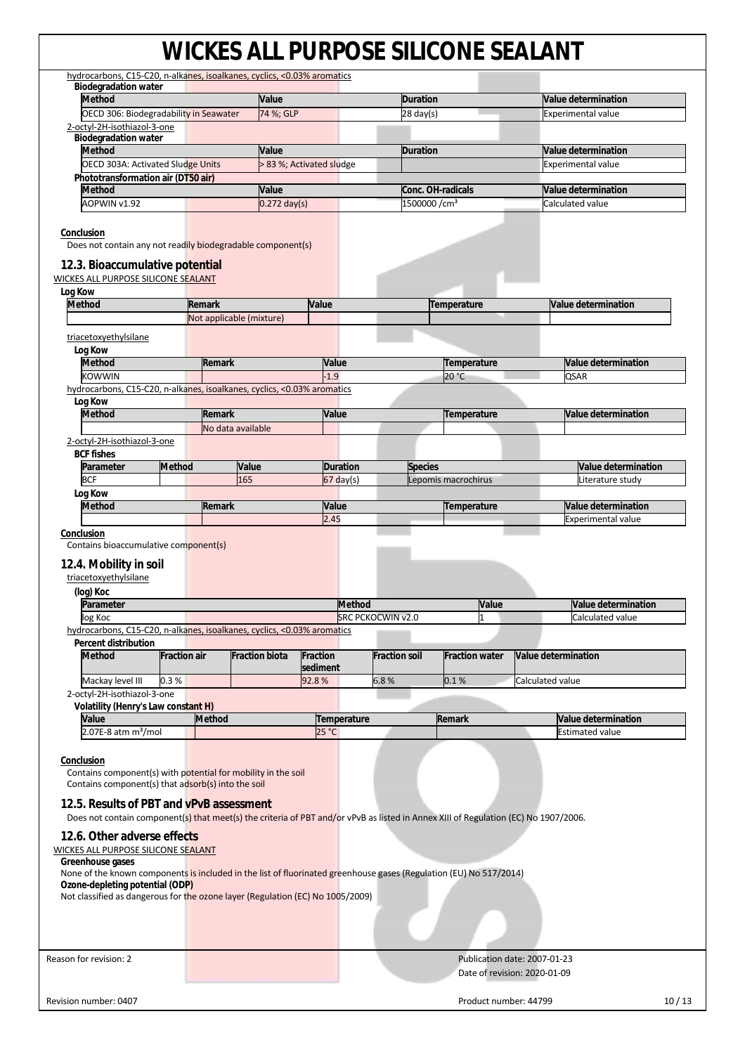| <b>Biodegradation water</b>                                                                                                                                                                                                                                                                                                              |                     |               | hydrocarbons, C15-C20, n-alkanes, isoalkanes, cyclics, <0.03% aromatics |          |                 |                           |                       |                                                              |
|------------------------------------------------------------------------------------------------------------------------------------------------------------------------------------------------------------------------------------------------------------------------------------------------------------------------------------------|---------------------|---------------|-------------------------------------------------------------------------|----------|-----------------|---------------------------|-----------------------|--------------------------------------------------------------|
| <b>Method</b>                                                                                                                                                                                                                                                                                                                            |                     |               | Value                                                                   |          |                 | <b>Duration</b>           |                       | <b>Value determination</b>                                   |
| OECD 306: Biodegradability in Seawater                                                                                                                                                                                                                                                                                                   |                     |               | 74 %; GLP                                                               |          |                 | $28 \text{ day}(s)$       |                       | <b>Experimental value</b>                                    |
| 2-octyl-2H-isothiazol-3-one                                                                                                                                                                                                                                                                                                              |                     |               |                                                                         |          |                 |                           |                       |                                                              |
| <b>Biodegradation water</b>                                                                                                                                                                                                                                                                                                              |                     |               |                                                                         |          |                 |                           |                       |                                                              |
| <b>Method</b>                                                                                                                                                                                                                                                                                                                            |                     |               | Value                                                                   |          |                 | <b>Duration</b>           |                       | <b>Value determination</b>                                   |
| OECD 303A: Activated Sludge Units                                                                                                                                                                                                                                                                                                        |                     |               | > 83 %; Activated sludge                                                |          |                 |                           |                       | <b>Experimental value</b>                                    |
| Phototransformation air (DT50 air)                                                                                                                                                                                                                                                                                                       |                     |               |                                                                         |          |                 |                           |                       |                                                              |
| <b>Method</b>                                                                                                                                                                                                                                                                                                                            |                     |               | <b>Value</b>                                                            |          |                 |                           | Conc. OH-radicals     | Value determination                                          |
| AOPWIN v1.92                                                                                                                                                                                                                                                                                                                             |                     |               | $0.272$ day(s)                                                          |          |                 | 1500000 / cm <sup>3</sup> |                       | Calculated value                                             |
| Conclusion<br>Does not contain any not readily biodegradable component(s)<br>12.3. Bioaccumulative potential<br>WICKES ALL PURPOSE SILICONE SEALANT<br>Log Kow<br><b>Method</b>                                                                                                                                                          |                     | Remark        |                                                                         |          |                 |                           |                       |                                                              |
|                                                                                                                                                                                                                                                                                                                                          |                     |               |                                                                         | Value    |                 |                           | Temperature           | Value determination                                          |
|                                                                                                                                                                                                                                                                                                                                          |                     |               | Not applicable (mixture)                                                |          |                 |                           |                       |                                                              |
| triacetoxyethylsilane                                                                                                                                                                                                                                                                                                                    |                     |               |                                                                         |          |                 |                           |                       |                                                              |
| Log Kow                                                                                                                                                                                                                                                                                                                                  |                     |               |                                                                         |          |                 |                           |                       |                                                              |
| <b>Method</b>                                                                                                                                                                                                                                                                                                                            |                     | Remark        |                                                                         | Value    |                 |                           | Temperature           | <b>Value determination</b>                                   |
| <b>KOWWIN</b>                                                                                                                                                                                                                                                                                                                            |                     |               |                                                                         | $-1.9$   |                 |                           | 20 °C                 | <b>QSAR</b>                                                  |
| hydrocarbons, C15-C20, n-alkanes, isoalkanes, cyclics, <0.03% aromatics                                                                                                                                                                                                                                                                  |                     |               |                                                                         |          |                 |                           |                       |                                                              |
| Log Kow                                                                                                                                                                                                                                                                                                                                  |                     |               |                                                                         |          |                 |                           |                       |                                                              |
| <b>Method</b>                                                                                                                                                                                                                                                                                                                            |                     | Remark        |                                                                         | Value    |                 |                           | Temperature           | Value determination                                          |
|                                                                                                                                                                                                                                                                                                                                          |                     |               | No data available                                                       |          |                 |                           |                       |                                                              |
| 2-octyl-2H-isothiazol-3-one                                                                                                                                                                                                                                                                                                              |                     |               |                                                                         |          |                 |                           |                       |                                                              |
| <b>BCF</b> fishes                                                                                                                                                                                                                                                                                                                        |                     |               |                                                                         |          |                 |                           |                       |                                                              |
| Parameter                                                                                                                                                                                                                                                                                                                                | Method              |               | Value                                                                   |          | <b>Duration</b> | <b>Species</b>            |                       | <b>Value determination</b>                                   |
| <b>BCF</b>                                                                                                                                                                                                                                                                                                                               |                     |               | 165                                                                     |          | $67$ day(s)     |                           | Lepomis macrochirus   | Literature study                                             |
| Log Kow                                                                                                                                                                                                                                                                                                                                  |                     |               |                                                                         |          |                 |                           |                       |                                                              |
| <b>Method</b>                                                                                                                                                                                                                                                                                                                            |                     | Remark        |                                                                         | Value    |                 |                           | Temperature           | Value determination                                          |
|                                                                                                                                                                                                                                                                                                                                          |                     |               |                                                                         | 2.45     |                 |                           |                       | <b>Experimental value</b>                                    |
| triacetoxyethylsilane<br>(log) Koc<br>Parameter                                                                                                                                                                                                                                                                                          |                     |               |                                                                         |          | <b>Method</b>   |                           | Value                 | Value determination                                          |
| log Koc                                                                                                                                                                                                                                                                                                                                  |                     |               |                                                                         |          |                 | <b>SRC PCKOCWIN v2.0</b>  | $\mathbf{1}$          | Calculated value                                             |
| hydrocarbons, C15-C20, n-alkanes, isoalkanes, cyclics, <0.03% aromatics                                                                                                                                                                                                                                                                  |                     |               |                                                                         |          |                 |                           |                       |                                                              |
| <b>Percent distribution</b>                                                                                                                                                                                                                                                                                                              |                     |               |                                                                         |          |                 |                           |                       |                                                              |
| <b>Method</b>                                                                                                                                                                                                                                                                                                                            |                     |               |                                                                         |          |                 |                           |                       |                                                              |
|                                                                                                                                                                                                                                                                                                                                          | <b>Fraction air</b> |               | <b>Fraction biota</b>                                                   | Fraction |                 | <b>Fraction soil</b>      | <b>Fraction water</b> | Value determination                                          |
|                                                                                                                                                                                                                                                                                                                                          |                     |               |                                                                         | sediment |                 |                           |                       |                                                              |
| Mackay level III                                                                                                                                                                                                                                                                                                                         | 0.3%                |               |                                                                         | 92.8%    |                 | 6.8%                      | 0.1%                  | Calculated value                                             |
| 2-octyl-2H-isothiazol-3-one                                                                                                                                                                                                                                                                                                              |                     |               |                                                                         |          |                 |                           |                       |                                                              |
| Volatility (Henry's Law constant H)<br>Value                                                                                                                                                                                                                                                                                             |                     | <b>Method</b> |                                                                         |          | Temperature     |                           | Remark                | Value determination                                          |
| $2.07E-8$ atm m <sup>3</sup> /mol                                                                                                                                                                                                                                                                                                        |                     |               |                                                                         | 25 °C    |                 |                           |                       | <b>Estimated value</b>                                       |
| Conclusion<br>Contains component(s) with potential for mobility in the soil<br>Contains component(s) that adsorb(s) into the soil<br>12.5. Results of PBT and vPvB assessment<br>Does not contain component(s) that meet(s) the criteria of PBT and/or vPvB as listed in Annex XIII of Regulation (EC) No 1907/2006.                     |                     |               |                                                                         |          |                 |                           |                       |                                                              |
| 12.6. Other adverse effects<br><b>WICKES ALL PURPOSE SILICONE SEALANT</b><br>Greenhouse gases<br>None of the known components is included in the list of fluorinated greenhouse gases (Regulation (EU) No 517/2014)<br>Ozone-depleting potential (ODP)<br>Not classified as dangerous for the ozone layer (Regulation (EC) No 1005/2009) |                     |               |                                                                         |          |                 |                           |                       |                                                              |
|                                                                                                                                                                                                                                                                                                                                          |                     |               |                                                                         |          |                 |                           |                       |                                                              |
| Reason for revision: 2                                                                                                                                                                                                                                                                                                                   |                     |               |                                                                         |          |                 |                           |                       | Publication date: 2007-01-23<br>Date of revision: 2020-01-09 |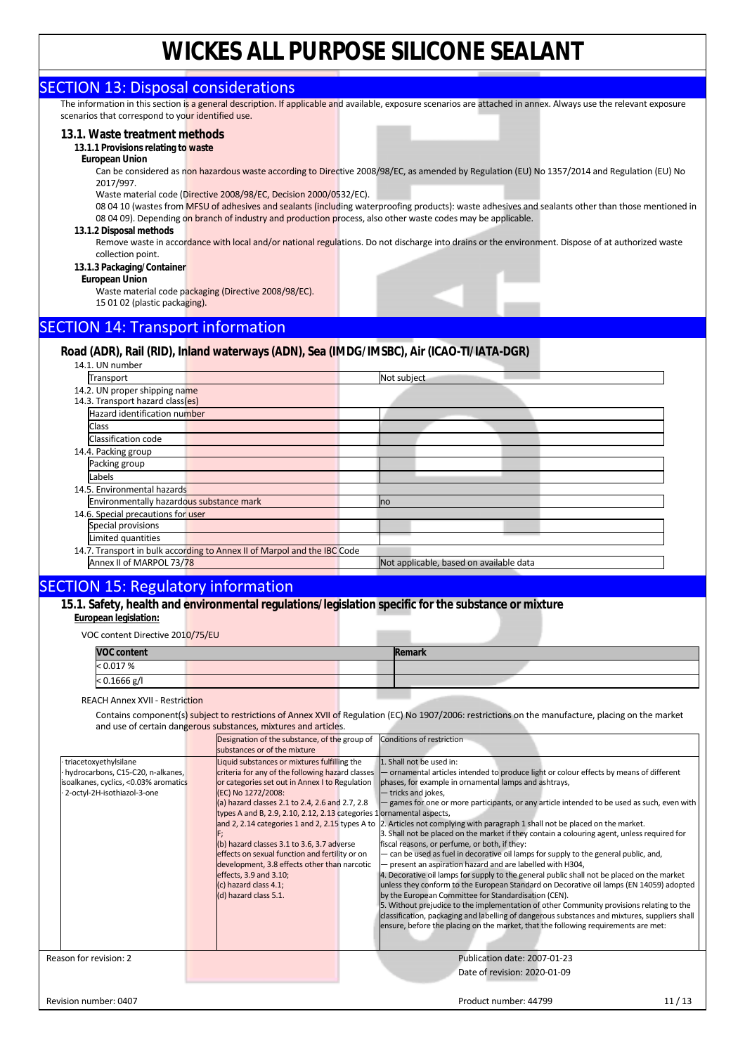#### SECTION 13: Disposal considerations

The information in this section is a general description. If applicable and available, exposure scenarios are attached in annex. Always use the relevant exposure scenarios that correspond to your identified use.

#### **13.1. Waste treatment methods**

#### **13.1.1 Provisions relating to waste**

#### **European Union**

Can be considered as non hazardous waste according to Directive 2008/98/EC, as amended by Regulation (EU) No 1357/2014 and Regulation (EU) No 2017/997.

Waste material code (Directive 2008/98/EC, Decision 2000/0532/EC).

08 04 10 (wastes from MFSU of adhesives and sealants (including waterproofing products): waste adhesives and sealants other than those mentioned in 08 04 09). Depending on branch of industry and production process, also other waste codes may be applicable.

#### **13.1.2 Disposal methods**

Remove waste in accordance with local and/or national regulations. Do not discharge into drains or the environment. Dispose of at authorized waste collection point.

- **13.1.3 Packaging/Container**
- **European Union**

Waste material code packaging (Directive 2008/98/EC). 15 01 02 (plastic packaging).

### SECTION 14: Transport information

#### **Road (ADR), Rail (RID), Inland waterways (ADN), Sea (IMDG/IMSBC), Air (ICAO-TI/IATA-DGR)**

14.1. UN number

| Transport                                |                                                                          | Not subject                             |
|------------------------------------------|--------------------------------------------------------------------------|-----------------------------------------|
| 14.2. UN proper shipping name            |                                                                          |                                         |
| 14.3. Transport hazard class(es)         |                                                                          |                                         |
| Hazard identification number             |                                                                          |                                         |
| Class                                    |                                                                          |                                         |
| Classification code                      |                                                                          |                                         |
| 14.4. Packing group                      |                                                                          |                                         |
| Packing group                            |                                                                          |                                         |
| Labels                                   |                                                                          |                                         |
| 14.5. Environmental hazards              |                                                                          |                                         |
| Environmentally hazardous substance mark |                                                                          | n <sub>o</sub>                          |
| 14.6. Special precautions for user       |                                                                          |                                         |
| Special provisions                       |                                                                          |                                         |
| Limited quantities                       |                                                                          |                                         |
|                                          | 14.7. Transport in bulk according to Annex II of Marpol and the IBC Code |                                         |
| Annex II of MARPOL 73/78                 |                                                                          | Not applicable, based on available data |
|                                          |                                                                          |                                         |

#### SECTION 15: Regulatory information

**15.1. Safety, health and environmental regulations/legislation specific for the substance or mixture European legislation:** 

VOC content Directive 2010/75/EU

| <b>VOC content</b> |  | Remark |  |
|--------------------|--|--------|--|
| < 0.017 %          |  |        |  |
| $< 0.1666$ g/l     |  |        |  |

#### REACH Annex XVII - Restriction

Contains component(s) subject to restrictions of Annex XVII of Regulation (EC) No 1907/2006: restrictions on the manufacture, placing on the market and use of certain dangerous substances, mixtures and articles.

|                                                                                                                                   | Designation of the substance, of the group of<br>substances or of the mixture                                                                                                                                                                                                                                                                                                                                                                                                                                                                                                       | <b>Conditions of restriction</b>                                                                                                                                                                                                                                                                                                                                                                                                                                                                                                                                                                                                                                                                                                                                                                                                                                                                                                                                                                                                                                                                                                                                                                                            |  |
|-----------------------------------------------------------------------------------------------------------------------------------|-------------------------------------------------------------------------------------------------------------------------------------------------------------------------------------------------------------------------------------------------------------------------------------------------------------------------------------------------------------------------------------------------------------------------------------------------------------------------------------------------------------------------------------------------------------------------------------|-----------------------------------------------------------------------------------------------------------------------------------------------------------------------------------------------------------------------------------------------------------------------------------------------------------------------------------------------------------------------------------------------------------------------------------------------------------------------------------------------------------------------------------------------------------------------------------------------------------------------------------------------------------------------------------------------------------------------------------------------------------------------------------------------------------------------------------------------------------------------------------------------------------------------------------------------------------------------------------------------------------------------------------------------------------------------------------------------------------------------------------------------------------------------------------------------------------------------------|--|
| triacetoxyethylsilane<br>hydrocarbons, C15-C20, n-alkanes,<br>soalkanes, cyclics, <0.03% aromatics<br>2-octyl-2H-isothiazol-3-one | Liquid substances or mixtures fulfilling the<br>criteria for any of the following hazard classes<br>or categories set out in Annex I to Regulation<br>(EC) No 1272/2008:<br>(a) hazard classes 2.1 to 2.4, 2.6 and 2.7, 2.8<br>types A and B, 2.9, 2.10, 2.12, 2.13 categories 1 ornamental aspects,<br>and 2, 2.14 categories 1 and 2, 2.15 types A to<br>(b) hazard classes 3.1 to 3.6, 3.7 adverse<br>effects on sexual function and fertility or on<br>development, 3.8 effects other than narcotic<br>effects, 3.9 and 3.10;<br>(c) hazard class 4.1;<br>(d) hazard class 5.1. | 1. Shall not be used in:<br>- ornamental articles intended to produce light or colour effects by means of different<br>phases, for example in ornamental lamps and ashtrays,<br>- tricks and jokes,<br>games for one or more participants, or any article intended to be used as such, even with<br>2. Articles not complying with paragraph 1 shall not be placed on the market.<br>3. Shall not be placed on the market if they contain a colouring agent, unless required for<br>fiscal reasons, or perfume, or both, if they:<br>- can be used as fuel in decorative oil lamps for supply to the general public, and,<br>- present an aspiration hazard and are labelled with H304,<br>4. Decorative oil lamps for supply to the general public shall not be placed on the market<br>unless they conform to the European Standard on Decorative oil lamps (EN 14059) adopted<br>by the European Committee for Standardisation (CEN).<br>5. Without prejudice to the implementation of other Community provisions relating to the<br>classification, packaging and labelling of dangerous substances and mixtures, suppliers shall<br>ensure, before the placing on the market, that the following requirements are met: |  |
| Reason for revision: 2                                                                                                            |                                                                                                                                                                                                                                                                                                                                                                                                                                                                                                                                                                                     | Publication date: 2007-01-23<br>Date of revision: 2020-01-09                                                                                                                                                                                                                                                                                                                                                                                                                                                                                                                                                                                                                                                                                                                                                                                                                                                                                                                                                                                                                                                                                                                                                                |  |
| Revision number: 0407                                                                                                             |                                                                                                                                                                                                                                                                                                                                                                                                                                                                                                                                                                                     | Product number: 44799<br>11/13                                                                                                                                                                                                                                                                                                                                                                                                                                                                                                                                                                                                                                                                                                                                                                                                                                                                                                                                                                                                                                                                                                                                                                                              |  |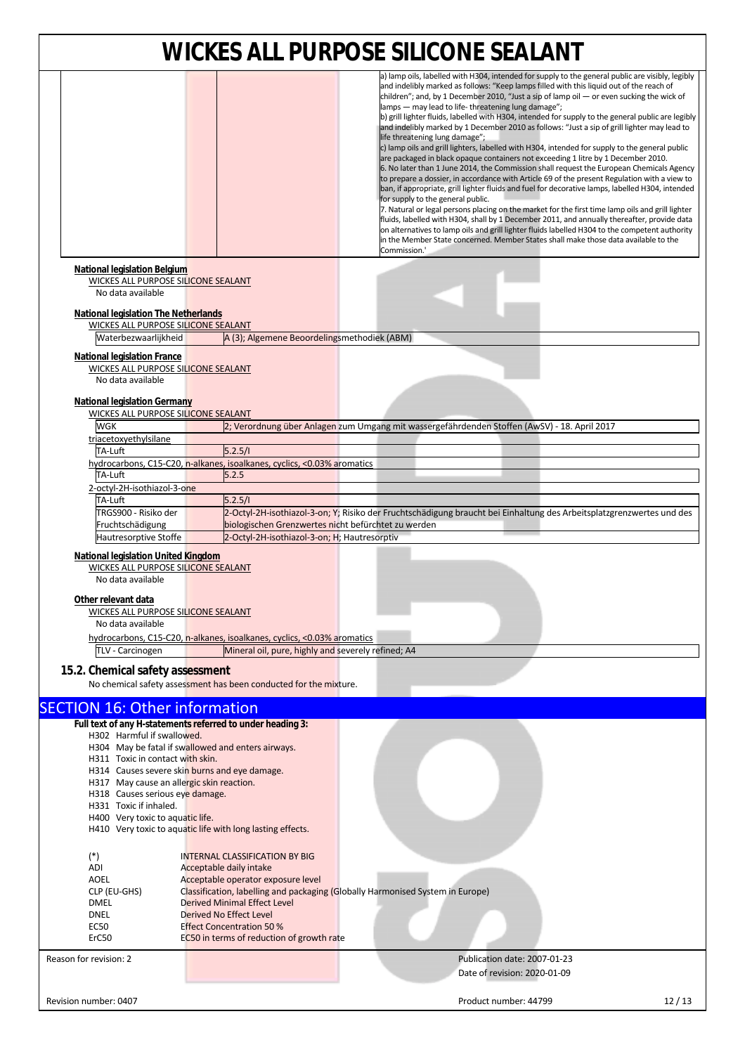|                                                                                                                                         |                                                                                | <u>WICKES ALL PURPUSE SILICUNE SEALANT</u>                                                                                                                                                                                                                                                                                                                                                                                                                                                                                                                                                                                                                                                                                                                                                                                                                                                                                                                                                                                                                                                                                                                                                                                                                                                                                                                                                                                                                                                                                        |       |
|-----------------------------------------------------------------------------------------------------------------------------------------|--------------------------------------------------------------------------------|-----------------------------------------------------------------------------------------------------------------------------------------------------------------------------------------------------------------------------------------------------------------------------------------------------------------------------------------------------------------------------------------------------------------------------------------------------------------------------------------------------------------------------------------------------------------------------------------------------------------------------------------------------------------------------------------------------------------------------------------------------------------------------------------------------------------------------------------------------------------------------------------------------------------------------------------------------------------------------------------------------------------------------------------------------------------------------------------------------------------------------------------------------------------------------------------------------------------------------------------------------------------------------------------------------------------------------------------------------------------------------------------------------------------------------------------------------------------------------------------------------------------------------------|-------|
|                                                                                                                                         |                                                                                | a) lamp oils, labelled with H304, intended for supply to the general public are visibly, legibly<br>and indelibly marked as follows: "Keep lamps filled with this liquid out of the reach of<br>children"; and, by 1 December 2010, "Just a sip of lamp oil $-$ or even sucking the wick of<br>lamps - may lead to life-threatening lung damage";<br>b) grill lighter fluids, labelled with H304, intended for supply to the general public are legibly<br>and indelibly marked by 1 December 2010 as follows: "Just a sip of grill lighter may lead to<br>life threatening lung damage";<br>c) lamp oils and grill lighters, labelled with H304, intended for supply to the general public<br>are packaged in black opaque containers not exceeding 1 litre by 1 December 2010.<br>6. No later than 1 June 2014, the Commission shall request the European Chemicals Agency<br>to prepare a dossier, in accordance with Article 69 of the present Regulation with a view to<br>ban, if appropriate, grill lighter fluids and fuel for decorative lamps, labelled H304, intended<br>for supply to the general public.<br>7. Natural or legal persons placing on the market for the first time lamp oils and grill lighter<br>fluids, labelled with H304, shall by 1 December 2011, and annually thereafter, provide data<br>on alternatives to lamp oils and grill lighter fluids labelled H304 to the competent authority<br>in the Member State concerned. Member States shall make those data available to the<br>Commission.' |       |
| National legislation Belgium<br>WICKES ALL PURPOSE SILICONE SEALANT<br>No data available<br><b>National legislation The Netherlands</b> |                                                                                |                                                                                                                                                                                                                                                                                                                                                                                                                                                                                                                                                                                                                                                                                                                                                                                                                                                                                                                                                                                                                                                                                                                                                                                                                                                                                                                                                                                                                                                                                                                                   |       |
| <b>WICKES ALL PURPOSE SILICONE SEALANT</b>                                                                                              |                                                                                |                                                                                                                                                                                                                                                                                                                                                                                                                                                                                                                                                                                                                                                                                                                                                                                                                                                                                                                                                                                                                                                                                                                                                                                                                                                                                                                                                                                                                                                                                                                                   |       |
| Waterbezwaarlijkheid                                                                                                                    | A (3); Algemene Beoordelingsmethodiek (ABM)                                    |                                                                                                                                                                                                                                                                                                                                                                                                                                                                                                                                                                                                                                                                                                                                                                                                                                                                                                                                                                                                                                                                                                                                                                                                                                                                                                                                                                                                                                                                                                                                   |       |
| <b>National legislation France</b><br>WICKES ALL PURPOSE SILICONE SEALANT<br>No data available                                          |                                                                                |                                                                                                                                                                                                                                                                                                                                                                                                                                                                                                                                                                                                                                                                                                                                                                                                                                                                                                                                                                                                                                                                                                                                                                                                                                                                                                                                                                                                                                                                                                                                   |       |
| <b>National legislation Germany</b>                                                                                                     |                                                                                |                                                                                                                                                                                                                                                                                                                                                                                                                                                                                                                                                                                                                                                                                                                                                                                                                                                                                                                                                                                                                                                                                                                                                                                                                                                                                                                                                                                                                                                                                                                                   |       |
| <b>WICKES ALL PURPOSE SILICONE SEALANT</b>                                                                                              |                                                                                |                                                                                                                                                                                                                                                                                                                                                                                                                                                                                                                                                                                                                                                                                                                                                                                                                                                                                                                                                                                                                                                                                                                                                                                                                                                                                                                                                                                                                                                                                                                                   |       |
| WGK<br>triacetoxyethylsilane                                                                                                            |                                                                                | 2; Verordnung über Anlagen zum Umgang mit wassergefährdenden Stoffen (AwSV) - 18. April 2017                                                                                                                                                                                                                                                                                                                                                                                                                                                                                                                                                                                                                                                                                                                                                                                                                                                                                                                                                                                                                                                                                                                                                                                                                                                                                                                                                                                                                                      |       |
| TA-Luft                                                                                                                                 | 5.2.5/l                                                                        |                                                                                                                                                                                                                                                                                                                                                                                                                                                                                                                                                                                                                                                                                                                                                                                                                                                                                                                                                                                                                                                                                                                                                                                                                                                                                                                                                                                                                                                                                                                                   |       |
|                                                                                                                                         | hydrocarbons, C15-C20, n-alkanes, isoalkanes, cyclics, <0.03% aromatics        |                                                                                                                                                                                                                                                                                                                                                                                                                                                                                                                                                                                                                                                                                                                                                                                                                                                                                                                                                                                                                                                                                                                                                                                                                                                                                                                                                                                                                                                                                                                                   |       |
| TA-Luft                                                                                                                                 | 5.2.5                                                                          |                                                                                                                                                                                                                                                                                                                                                                                                                                                                                                                                                                                                                                                                                                                                                                                                                                                                                                                                                                                                                                                                                                                                                                                                                                                                                                                                                                                                                                                                                                                                   |       |
| 2-octyl-2H-isothiazol-3-one                                                                                                             |                                                                                |                                                                                                                                                                                                                                                                                                                                                                                                                                                                                                                                                                                                                                                                                                                                                                                                                                                                                                                                                                                                                                                                                                                                                                                                                                                                                                                                                                                                                                                                                                                                   |       |
| TA-Luft                                                                                                                                 | 5.2.5/1                                                                        |                                                                                                                                                                                                                                                                                                                                                                                                                                                                                                                                                                                                                                                                                                                                                                                                                                                                                                                                                                                                                                                                                                                                                                                                                                                                                                                                                                                                                                                                                                                                   |       |
| TRGS900 - Risiko der                                                                                                                    |                                                                                | 2-Octyl-2H-isothiazol-3-on; Y; Risiko der Fruchtschädigung braucht bei Einhaltung des Arbeitsplatzgrenzwertes und des                                                                                                                                                                                                                                                                                                                                                                                                                                                                                                                                                                                                                                                                                                                                                                                                                                                                                                                                                                                                                                                                                                                                                                                                                                                                                                                                                                                                             |       |
| Fruchtschädigung                                                                                                                        | biologischen Grenzwertes nicht befürchtet zu werden                            |                                                                                                                                                                                                                                                                                                                                                                                                                                                                                                                                                                                                                                                                                                                                                                                                                                                                                                                                                                                                                                                                                                                                                                                                                                                                                                                                                                                                                                                                                                                                   |       |
| Hautresorptive Stoffe                                                                                                                   | 2-Octyl-2H-isothiazol-3-on; H; Hautresorptiv                                   |                                                                                                                                                                                                                                                                                                                                                                                                                                                                                                                                                                                                                                                                                                                                                                                                                                                                                                                                                                                                                                                                                                                                                                                                                                                                                                                                                                                                                                                                                                                                   |       |
| <b>National legislation United Kingdom</b>                                                                                              |                                                                                |                                                                                                                                                                                                                                                                                                                                                                                                                                                                                                                                                                                                                                                                                                                                                                                                                                                                                                                                                                                                                                                                                                                                                                                                                                                                                                                                                                                                                                                                                                                                   |       |
| <b>WICKES ALL PURPOSE SILICONE SEALANT</b>                                                                                              |                                                                                |                                                                                                                                                                                                                                                                                                                                                                                                                                                                                                                                                                                                                                                                                                                                                                                                                                                                                                                                                                                                                                                                                                                                                                                                                                                                                                                                                                                                                                                                                                                                   |       |
| No data available                                                                                                                       |                                                                                |                                                                                                                                                                                                                                                                                                                                                                                                                                                                                                                                                                                                                                                                                                                                                                                                                                                                                                                                                                                                                                                                                                                                                                                                                                                                                                                                                                                                                                                                                                                                   |       |
| Other relevant data<br><b>WICKES ALL PURPOSE SILICONE SEALANT</b><br>No data available                                                  |                                                                                |                                                                                                                                                                                                                                                                                                                                                                                                                                                                                                                                                                                                                                                                                                                                                                                                                                                                                                                                                                                                                                                                                                                                                                                                                                                                                                                                                                                                                                                                                                                                   |       |
|                                                                                                                                         | hydrocarbons, C15-C20, n-alkanes, isoalkanes, cyclics, <0.03% aromatics        |                                                                                                                                                                                                                                                                                                                                                                                                                                                                                                                                                                                                                                                                                                                                                                                                                                                                                                                                                                                                                                                                                                                                                                                                                                                                                                                                                                                                                                                                                                                                   |       |
| TLV - Carcinogen                                                                                                                        | Mineral oil, pure, highly and severely refined; A4                             |                                                                                                                                                                                                                                                                                                                                                                                                                                                                                                                                                                                                                                                                                                                                                                                                                                                                                                                                                                                                                                                                                                                                                                                                                                                                                                                                                                                                                                                                                                                                   |       |
| 15.2. Chemical safety assessment                                                                                                        | No chemical safety assessment has been conducted for the mixture.              |                                                                                                                                                                                                                                                                                                                                                                                                                                                                                                                                                                                                                                                                                                                                                                                                                                                                                                                                                                                                                                                                                                                                                                                                                                                                                                                                                                                                                                                                                                                                   |       |
|                                                                                                                                         |                                                                                |                                                                                                                                                                                                                                                                                                                                                                                                                                                                                                                                                                                                                                                                                                                                                                                                                                                                                                                                                                                                                                                                                                                                                                                                                                                                                                                                                                                                                                                                                                                                   |       |
| <b>SECTION 16: Other information</b>                                                                                                    |                                                                                |                                                                                                                                                                                                                                                                                                                                                                                                                                                                                                                                                                                                                                                                                                                                                                                                                                                                                                                                                                                                                                                                                                                                                                                                                                                                                                                                                                                                                                                                                                                                   |       |
| Full text of any H-statements referred to under heading 3:                                                                              |                                                                                |                                                                                                                                                                                                                                                                                                                                                                                                                                                                                                                                                                                                                                                                                                                                                                                                                                                                                                                                                                                                                                                                                                                                                                                                                                                                                                                                                                                                                                                                                                                                   |       |
| H302 Harmful if swallowed.                                                                                                              |                                                                                |                                                                                                                                                                                                                                                                                                                                                                                                                                                                                                                                                                                                                                                                                                                                                                                                                                                                                                                                                                                                                                                                                                                                                                                                                                                                                                                                                                                                                                                                                                                                   |       |
| H304 May be fatal if swallowed and enters airways.                                                                                      |                                                                                |                                                                                                                                                                                                                                                                                                                                                                                                                                                                                                                                                                                                                                                                                                                                                                                                                                                                                                                                                                                                                                                                                                                                                                                                                                                                                                                                                                                                                                                                                                                                   |       |
| H311 Toxic in contact with skin.<br>H314 Causes severe skin burns and eye damage.                                                       |                                                                                |                                                                                                                                                                                                                                                                                                                                                                                                                                                                                                                                                                                                                                                                                                                                                                                                                                                                                                                                                                                                                                                                                                                                                                                                                                                                                                                                                                                                                                                                                                                                   |       |
| H317 May cause an allergic skin reaction.                                                                                               |                                                                                |                                                                                                                                                                                                                                                                                                                                                                                                                                                                                                                                                                                                                                                                                                                                                                                                                                                                                                                                                                                                                                                                                                                                                                                                                                                                                                                                                                                                                                                                                                                                   |       |
| H318 Causes serious eye damage.                                                                                                         |                                                                                |                                                                                                                                                                                                                                                                                                                                                                                                                                                                                                                                                                                                                                                                                                                                                                                                                                                                                                                                                                                                                                                                                                                                                                                                                                                                                                                                                                                                                                                                                                                                   |       |
| H331 Toxic if inhaled.                                                                                                                  |                                                                                |                                                                                                                                                                                                                                                                                                                                                                                                                                                                                                                                                                                                                                                                                                                                                                                                                                                                                                                                                                                                                                                                                                                                                                                                                                                                                                                                                                                                                                                                                                                                   |       |
| H400 Very toxic to aquatic life.                                                                                                        |                                                                                |                                                                                                                                                                                                                                                                                                                                                                                                                                                                                                                                                                                                                                                                                                                                                                                                                                                                                                                                                                                                                                                                                                                                                                                                                                                                                                                                                                                                                                                                                                                                   |       |
|                                                                                                                                         | H410 Very toxic to aquatic life with long lasting effects.                     |                                                                                                                                                                                                                                                                                                                                                                                                                                                                                                                                                                                                                                                                                                                                                                                                                                                                                                                                                                                                                                                                                                                                                                                                                                                                                                                                                                                                                                                                                                                                   |       |
| $(*)$                                                                                                                                   | <b>INTERNAL CLASSIFICATION BY BIG</b>                                          |                                                                                                                                                                                                                                                                                                                                                                                                                                                                                                                                                                                                                                                                                                                                                                                                                                                                                                                                                                                                                                                                                                                                                                                                                                                                                                                                                                                                                                                                                                                                   |       |
| ADI                                                                                                                                     | Acceptable daily intake                                                        |                                                                                                                                                                                                                                                                                                                                                                                                                                                                                                                                                                                                                                                                                                                                                                                                                                                                                                                                                                                                                                                                                                                                                                                                                                                                                                                                                                                                                                                                                                                                   |       |
| AOEL                                                                                                                                    | Acceptable operator exposure level                                             |                                                                                                                                                                                                                                                                                                                                                                                                                                                                                                                                                                                                                                                                                                                                                                                                                                                                                                                                                                                                                                                                                                                                                                                                                                                                                                                                                                                                                                                                                                                                   |       |
| CLP (EU-GHS)                                                                                                                            | Classification, labelling and packaging (Globally Harmonised System in Europe) |                                                                                                                                                                                                                                                                                                                                                                                                                                                                                                                                                                                                                                                                                                                                                                                                                                                                                                                                                                                                                                                                                                                                                                                                                                                                                                                                                                                                                                                                                                                                   |       |
| <b>DMEL</b>                                                                                                                             | <b>Derived Minimal Effect Level</b>                                            |                                                                                                                                                                                                                                                                                                                                                                                                                                                                                                                                                                                                                                                                                                                                                                                                                                                                                                                                                                                                                                                                                                                                                                                                                                                                                                                                                                                                                                                                                                                                   |       |
| <b>DNEL</b>                                                                                                                             | Derived No Effect Level                                                        |                                                                                                                                                                                                                                                                                                                                                                                                                                                                                                                                                                                                                                                                                                                                                                                                                                                                                                                                                                                                                                                                                                                                                                                                                                                                                                                                                                                                                                                                                                                                   |       |
| <b>EC50</b>                                                                                                                             | <b>Effect Concentration 50 %</b>                                               |                                                                                                                                                                                                                                                                                                                                                                                                                                                                                                                                                                                                                                                                                                                                                                                                                                                                                                                                                                                                                                                                                                                                                                                                                                                                                                                                                                                                                                                                                                                                   |       |
| ErC50                                                                                                                                   | EC50 in terms of reduction of growth rate                                      |                                                                                                                                                                                                                                                                                                                                                                                                                                                                                                                                                                                                                                                                                                                                                                                                                                                                                                                                                                                                                                                                                                                                                                                                                                                                                                                                                                                                                                                                                                                                   |       |
| Reason for revision: 2                                                                                                                  |                                                                                | Publication date: 2007-01-23                                                                                                                                                                                                                                                                                                                                                                                                                                                                                                                                                                                                                                                                                                                                                                                                                                                                                                                                                                                                                                                                                                                                                                                                                                                                                                                                                                                                                                                                                                      |       |
|                                                                                                                                         |                                                                                | Date of revision: 2020-01-09                                                                                                                                                                                                                                                                                                                                                                                                                                                                                                                                                                                                                                                                                                                                                                                                                                                                                                                                                                                                                                                                                                                                                                                                                                                                                                                                                                                                                                                                                                      |       |
|                                                                                                                                         |                                                                                |                                                                                                                                                                                                                                                                                                                                                                                                                                                                                                                                                                                                                                                                                                                                                                                                                                                                                                                                                                                                                                                                                                                                                                                                                                                                                                                                                                                                                                                                                                                                   |       |
| Revision number: 0407                                                                                                                   |                                                                                | Product number: 44799                                                                                                                                                                                                                                                                                                                                                                                                                                                                                                                                                                                                                                                                                                                                                                                                                                                                                                                                                                                                                                                                                                                                                                                                                                                                                                                                                                                                                                                                                                             | 12/13 |